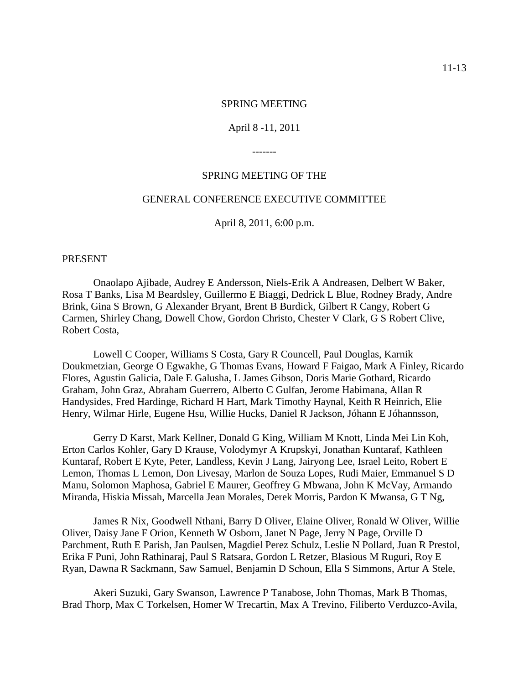#### SPRING MEETING

#### April 8 -11, 2011

-------

#### SPRING MEETING OF THE

#### GENERAL CONFERENCE EXECUTIVE COMMITTEE

April 8, 2011, 6:00 p.m.

PRESENT

Onaolapo Ajibade, Audrey E Andersson, Niels-Erik A Andreasen, Delbert W Baker, Rosa T Banks, Lisa M Beardsley, Guillermo E Biaggi, Dedrick L Blue, Rodney Brady, Andre Brink, Gina S Brown, G Alexander Bryant, Brent B Burdick, Gilbert R Cangy, Robert G Carmen, Shirley Chang, Dowell Chow, Gordon Christo, Chester V Clark, G S Robert Clive, Robert Costa,

Lowell C Cooper, Williams S Costa, Gary R Councell, Paul Douglas, Karnik Doukmetzian, George O Egwakhe, G Thomas Evans, Howard F Faigao, Mark A Finley, Ricardo Flores, Agustin Galicia, Dale E Galusha, L James Gibson, Doris Marie Gothard, Ricardo Graham, John Graz, Abraham Guerrero, Alberto C Gulfan, Jerome Habimana, Allan R Handysides, Fred Hardinge, Richard H Hart, Mark Timothy Haynal, Keith R Heinrich, Elie Henry, Wilmar Hirle, Eugene Hsu, Willie Hucks, Daniel R Jackson, Jóhann E Jóhannsson,

Gerry D Karst, Mark Kellner, Donald G King, William M Knott, Linda Mei Lin Koh, Erton Carlos Kohler, Gary D Krause, Volodymyr A Krupskyi, Jonathan Kuntaraf, Kathleen Kuntaraf, Robert E Kyte, Peter, Landless, Kevin J Lang, Jairyong Lee, Israel Leito, Robert E Lemon, Thomas L Lemon, Don Livesay, Marlon de Souza Lopes, Rudi Maier, Emmanuel S D Manu, Solomon Maphosa, Gabriel E Maurer, Geoffrey G Mbwana, John K McVay, Armando Miranda, Hiskia Missah, Marcella Jean Morales, Derek Morris, Pardon K Mwansa, G T Ng,

James R Nix, Goodwell Nthani, Barry D Oliver, Elaine Oliver, Ronald W Oliver, Willie Oliver, Daisy Jane F Orion, Kenneth W Osborn, Janet N Page, Jerry N Page, Orville D Parchment, Ruth E Parish, Jan Paulsen, Magdiel Perez Schulz, Leslie N Pollard, Juan R Prestol, Erika F Puni, John Rathinaraj, Paul S Ratsara, Gordon L Retzer, Blasious M Ruguri, Roy E Ryan, Dawna R Sackmann, Saw Samuel, Benjamin D Schoun, Ella S Simmons, Artur A Stele,

Akeri Suzuki, Gary Swanson, Lawrence P Tanabose, John Thomas, Mark B Thomas, Brad Thorp, Max C Torkelsen, Homer W Trecartin, Max A Trevino, Filiberto Verduzco-Avila,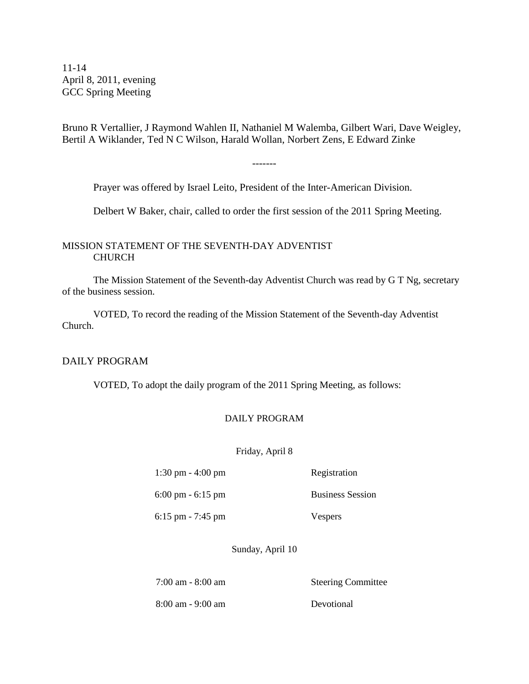11-14 April 8, 2011, evening GCC Spring Meeting

Bruno R Vertallier, J Raymond Wahlen II, Nathaniel M Walemba, Gilbert Wari, Dave Weigley, Bertil A Wiklander, Ted N C Wilson, Harald Wollan, Norbert Zens, E Edward Zinke

-------

Prayer was offered by Israel Leito, President of the Inter-American Division.

Delbert W Baker, chair, called to order the first session of the 2011 Spring Meeting.

#### MISSION STATEMENT OF THE SEVENTH-DAY ADVENTIST CHURCH

The Mission Statement of the Seventh-day Adventist Church was read by G T Ng, secretary of the business session.

VOTED, To record the reading of the Mission Statement of the Seventh-day Adventist Church.

#### DAILY PROGRAM

VOTED, To adopt the daily program of the 2011 Spring Meeting, as follows:

#### DAILY PROGRAM

Friday, April 8

1:30 pm - 4:00 pm Registration

6:00 pm - 6:15 pm Business Session

6:15 pm - 7:45 pm Vespers

Sunday, April 10

7:00 am - 8:00 am Steering Committee

8:00 am - 9:00 am Devotional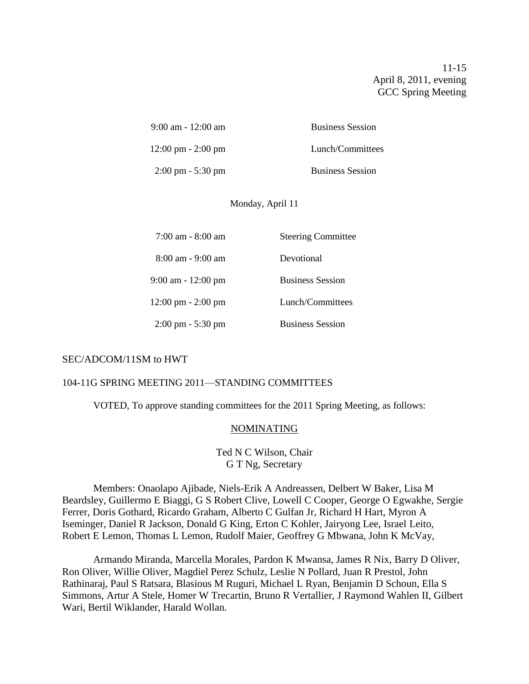11-15 April 8, 2011, evening GCC Spring Meeting

| $9:00$ am - 12:00 am                 | <b>Business Session</b> |
|--------------------------------------|-------------------------|
| $12:00 \text{ pm} - 2:00 \text{ pm}$ | Lunch/Committees        |
| $2:00 \text{ pm} - 5:30 \text{ pm}$  | <b>Business Session</b> |

#### Monday, April 11

| $7:00$ am - $8:00$ am                | <b>Steering Committee</b> |
|--------------------------------------|---------------------------|
| 8:00 am - 9:00 am                    | Devotional                |
| $9:00$ am - 12:00 pm                 | <b>Business Session</b>   |
| $12:00 \text{ pm} - 2:00 \text{ pm}$ | Lunch/Committees          |
| $2:00 \text{ pm} - 5:30 \text{ pm}$  | <b>Business Session</b>   |

#### SEC/ADCOM/11SM to HWT

#### 104-11G SPRING MEETING 2011—STANDING COMMITTEES

VOTED, To approve standing committees for the 2011 Spring Meeting, as follows:

#### NOMINATING

Ted N C Wilson, Chair G T Ng, Secretary

Members: Onaolapo Ajibade, Niels-Erik A Andreassen, Delbert W Baker, Lisa M Beardsley, Guillermo E Biaggi, G S Robert Clive, Lowell C Cooper, George O Egwakhe, Sergie Ferrer, Doris Gothard, Ricardo Graham, Alberto C Gulfan Jr, Richard H Hart, Myron A Iseminger, Daniel R Jackson, Donald G King, Erton C Kohler, Jairyong Lee, Israel Leito, Robert E Lemon, Thomas L Lemon, Rudolf Maier, Geoffrey G Mbwana, John K McVay,

Armando Miranda, Marcella Morales, Pardon K Mwansa, James R Nix, Barry D Oliver, Ron Oliver, Willie Oliver, Magdiel Perez Schulz, Leslie N Pollard, Juan R Prestol, John Rathinaraj, Paul S Ratsara, Blasious M Ruguri, Michael L Ryan, Benjamin D Schoun, Ella S Simmons, Artur A Stele, Homer W Trecartin, Bruno R Vertallier, J Raymond Wahlen II, Gilbert Wari, Bertil Wiklander, Harald Wollan.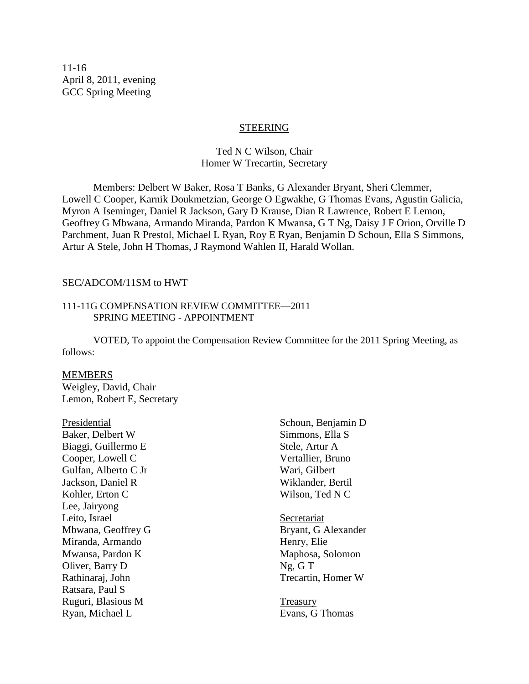11-16 April 8, 2011, evening GCC Spring Meeting

#### STEERING

#### Ted N C Wilson, Chair Homer W Trecartin, Secretary

Members: Delbert W Baker, Rosa T Banks, G Alexander Bryant, Sheri Clemmer, Lowell C Cooper, Karnik Doukmetzian, George O Egwakhe, G Thomas Evans, Agustin Galicia, Myron A Iseminger, Daniel R Jackson, Gary D Krause, Dian R Lawrence, Robert E Lemon, Geoffrey G Mbwana, Armando Miranda, Pardon K Mwansa, G T Ng, Daisy J F Orion, Orville D Parchment, Juan R Prestol, Michael L Ryan, Roy E Ryan, Benjamin D Schoun, Ella S Simmons, Artur A Stele, John H Thomas, J Raymond Wahlen II, Harald Wollan.

#### SEC/ADCOM/11SM to HWT

#### 111-11G COMPENSATION REVIEW COMMITTEE—2011 SPRING MEETING - APPOINTMENT

VOTED, To appoint the Compensation Review Committee for the 2011 Spring Meeting, as follows:

#### MEMBERS

Weigley, David, Chair Lemon, Robert E, Secretary

Baker, Delbert W Simmons, Ella S Biaggi, Guillermo E Stele, Artur A Cooper, Lowell C Vertallier, Bruno Gulfan, Alberto C Jr Wari, Gilbert Jackson, Daniel R Wiklander, Bertil Kohler, Erton C Wilson, Ted N C Lee, Jairyong Leito, Israel Secretariat Mbwana, Geoffrey G<br>Bryant, G Alexander Miranda, Armando Henry, Elie Mwansa, Pardon K Maphosa, Solomon Oliver, Barry D Ng, G T Rathinaraj, John Trecartin, Homer W Ratsara, Paul S Ruguri, Blasious M Treasury Ryan, Michael L Evans, G Thomas

Presidential Schoun, Benjamin D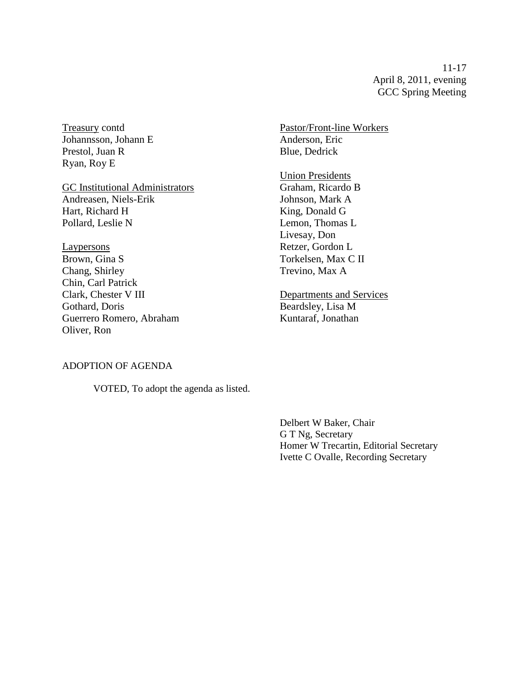11-17 April 8, 2011, evening GCC Spring Meeting

Johannsson, Johann E Anderson, Eric Prestol, Juan R Blue, Dedrick Ryan, Roy E

GC Institutional Administrators Andreasen, Niels-Erik Johnson, Mark A Hart, Richard H King, Donald G Pollard, Leslie N Lemon, Thomas L

Laypersons Retzer, Gordon L Brown, Gina S Torkelsen, Max C II Chang, Shirley Trevino, Max A Chin, Carl Patrick Clark, Chester V III Departments and Services Gothard, Doris Beardsley, Lisa M Guerrero Romero, Abraham Kuntaraf, Jonathan Oliver, Ron

Treasury contd Pastor/Front-line Workers

**Union Presidents**<br>Graham, Ricardo B Livesay, Don

ADOPTION OF AGENDA

VOTED, To adopt the agenda as listed.

Delbert W Baker, Chair G T Ng, Secretary Homer W Trecartin, Editorial Secretary Ivette C Ovalle, Recording Secretary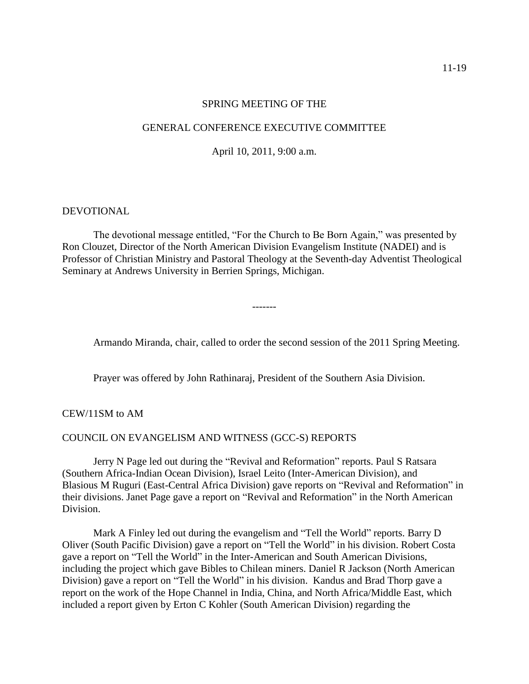#### SPRING MEETING OF THE

#### GENERAL CONFERENCE EXECUTIVE COMMITTEE

April 10, 2011, 9:00 a.m.

#### DEVOTIONAL

The devotional message entitled, "For the Church to Be Born Again," was presented by Ron Clouzet, Director of the North American Division Evangelism Institute (NADEI) and is Professor of Christian Ministry and Pastoral Theology at the Seventh-day Adventist Theological Seminary at Andrews University in Berrien Springs, Michigan.

-------

Armando Miranda, chair, called to order the second session of the 2011 Spring Meeting.

Prayer was offered by John Rathinaraj, President of the Southern Asia Division.

CEW/11SM to AM

#### COUNCIL ON EVANGELISM AND WITNESS (GCC-S) REPORTS

Jerry N Page led out during the "Revival and Reformation" reports. Paul S Ratsara (Southern Africa-Indian Ocean Division), Israel Leito (Inter-American Division), and Blasious M Ruguri (East-Central Africa Division) gave reports on "Revival and Reformation" in their divisions. Janet Page gave a report on "Revival and Reformation" in the North American Division.

Mark A Finley led out during the evangelism and "Tell the World" reports. Barry D Oliver (South Pacific Division) gave a report on "Tell the World" in his division. Robert Costa gave a report on "Tell the World" in the Inter-American and South American Divisions, including the project which gave Bibles to Chilean miners. Daniel R Jackson (North American Division) gave a report on "Tell the World" in his division. Kandus and Brad Thorp gave a report on the work of the Hope Channel in India, China, and North Africa/Middle East, which included a report given by Erton C Kohler (South American Division) regarding the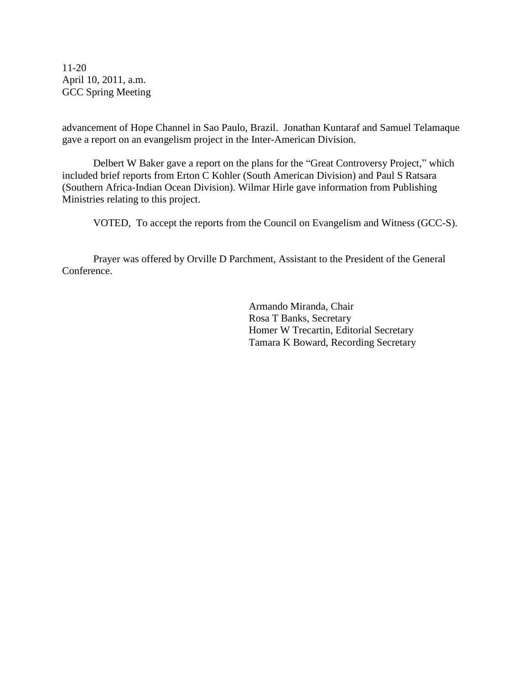11-20 April 10, 2011, a.m. GCC Spring Meeting

advancement of Hope Channel in Sao Paulo, Brazil. Jonathan Kuntaraf and Samuel Telamaque gave a report on an evangelism project in the Inter-American Division.

Delbert W Baker gave a report on the plans for the "Great Controversy Project," which included brief reports from Erton C Kohler (South American Division) and Paul S Ratsara (Southern Africa-Indian Ocean Division). Wilmar Hirle gave information from Publishing Ministries relating to this project.

VOTED, To accept the reports from the Council on Evangelism and Witness (GCC-S).

Prayer was offered by Orville D Parchment, Assistant to the President of the General Conference.

> Armando Miranda, Chair Rosa T Banks, Secretary Homer W Trecartin, Editorial Secretary Tamara K Boward, Recording Secretary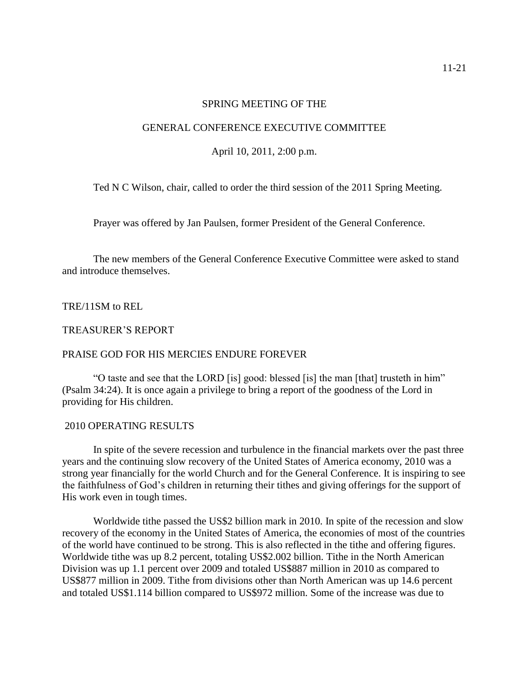#### SPRING MEETING OF THE

#### GENERAL CONFERENCE EXECUTIVE COMMITTEE

April 10, 2011, 2:00 p.m.

Ted N C Wilson, chair, called to order the third session of the 2011 Spring Meeting.

Prayer was offered by Jan Paulsen, former President of the General Conference.

The new members of the General Conference Executive Committee were asked to stand and introduce themselves.

TRE/11SM to REL

TREASURER'S REPORT

#### PRAISE GOD FOR HIS MERCIES ENDURE FOREVER

"O taste and see that the LORD [is] good: blessed [is] the man [that] trusteth in him" (Psalm 34:24). It is once again a privilege to bring a report of the goodness of the Lord in providing for His children.

#### 2010 OPERATING RESULTS

In spite of the severe recession and turbulence in the financial markets over the past three years and the continuing slow recovery of the United States of America economy, 2010 was a strong year financially for the world Church and for the General Conference. It is inspiring to see the faithfulness of God's children in returning their tithes and giving offerings for the support of His work even in tough times.

Worldwide tithe passed the US\$2 billion mark in 2010. In spite of the recession and slow recovery of the economy in the United States of America, the economies of most of the countries of the world have continued to be strong. This is also reflected in the tithe and offering figures. Worldwide tithe was up 8.2 percent, totaling US\$2.002 billion. Tithe in the North American Division was up 1.1 percent over 2009 and totaled US\$887 million in 2010 as compared to US\$877 million in 2009. Tithe from divisions other than North American was up 14.6 percent and totaled US\$1.114 billion compared to US\$972 million. Some of the increase was due to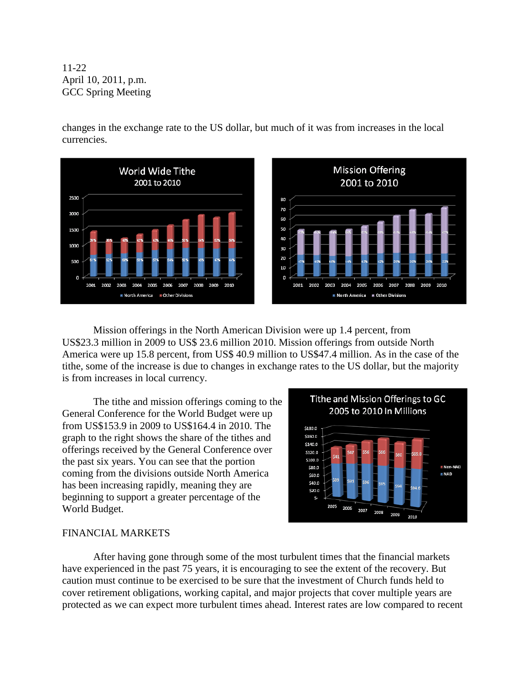11-22 April 10, 2011, p.m. GCC Spring Meeting

changes in the exchange rate to the US dollar, but much of it was from increases in the local currencies.



Mission offerings in the North American Division were up 1.4 percent, from US\$23.3 million in 2009 to US\$ 23.6 million 2010. Mission offerings from outside North America were up 15.8 percent, from US\$ 40.9 million to US\$47.4 million. As in the case of the tithe, some of the increase is due to changes in exchange rates to the US dollar, but the majority is from increases in local currency.

The tithe and mission offerings coming to the General Conference for the World Budget were up from US\$153.9 in 2009 to US\$164.4 in 2010. The graph to the right shows the share of the tithes and offerings received by the General Conference over the past six years. You can see that the portion coming from the divisions outside North America has been increasing rapidly, meaning they are beginning to support a greater percentage of the World Budget.



#### FINANCIAL MARKETS

After having gone through some of the most turbulent times that the financial markets have experienced in the past 75 years, it is encouraging to see the extent of the recovery. But caution must continue to be exercised to be sure that the investment of Church funds held to cover retirement obligations, working capital, and major projects that cover multiple years are protected as we can expect more turbulent times ahead. Interest rates are low compared to recent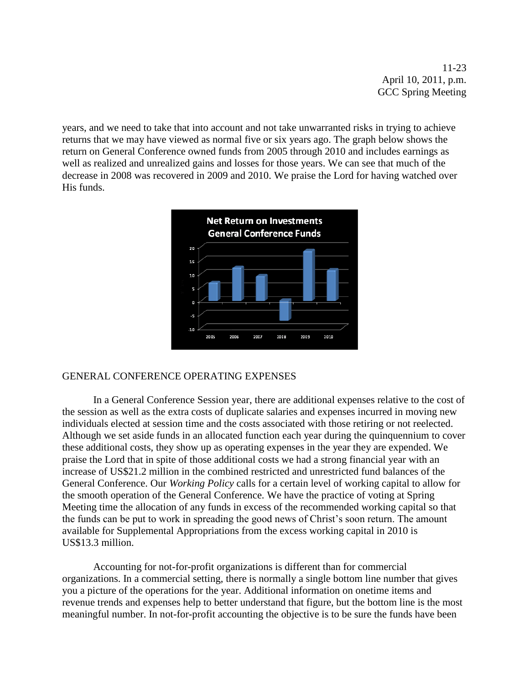11-23 April 10, 2011, p.m. GCC Spring Meeting

years, and we need to take that into account and not take unwarranted risks in trying to achieve returns that we may have viewed as normal five or six years ago. The graph below shows the return on General Conference owned funds from 2005 through 2010 and includes earnings as well as realized and unrealized gains and losses for those years. We can see that much of the decrease in 2008 was recovered in 2009 and 2010. We praise the Lord for having watched over His funds.



#### GENERAL CONFERENCE OPERATING EXPENSES

In a General Conference Session year, there are additional expenses relative to the cost of the session as well as the extra costs of duplicate salaries and expenses incurred in moving new individuals elected at session time and the costs associated with those retiring or not reelected. Although we set aside funds in an allocated function each year during the quinquennium to cover these additional costs, they show up as operating expenses in the year they are expended. We praise the Lord that in spite of those additional costs we had a strong financial year with an increase of US\$21.2 million in the combined restricted and unrestricted fund balances of the General Conference. Our *Working Policy* calls for a certain level of working capital to allow for the smooth operation of the General Conference. We have the practice of voting at Spring Meeting time the allocation of any funds in excess of the recommended working capital so that the funds can be put to work in spreading the good news of Christ's soon return. The amount available for Supplemental Appropriations from the excess working capital in 2010 is US\$13.3 million.

Accounting for not-for-profit organizations is different than for commercial organizations. In a commercial setting, there is normally a single bottom line number that gives you a picture of the operations for the year. Additional information on onetime items and revenue trends and expenses help to better understand that figure, but the bottom line is the most meaningful number. In not-for-profit accounting the objective is to be sure the funds have been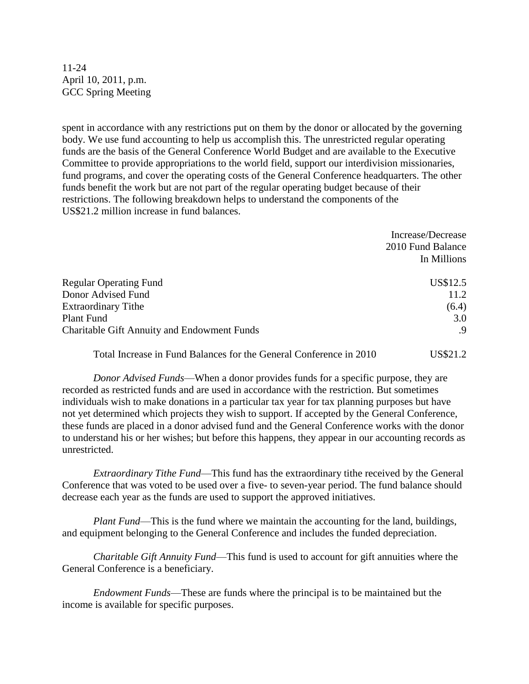11-24 April 10, 2011, p.m. GCC Spring Meeting

spent in accordance with any restrictions put on them by the donor or allocated by the governing body. We use fund accounting to help us accomplish this. The unrestricted regular operating funds are the basis of the General Conference World Budget and are available to the Executive Committee to provide appropriations to the world field, support our interdivision missionaries, fund programs, and cover the operating costs of the General Conference headquarters. The other funds benefit the work but are not part of the regular operating budget because of their restrictions. The following breakdown helps to understand the components of the US\$21.2 million increase in fund balances.

|                                                    | 2010 Fund Balance |
|----------------------------------------------------|-------------------|
|                                                    | In Millions       |
| <b>Regular Operating Fund</b>                      | US\$12.5          |
| Donor Advised Fund                                 | 11.2              |
| <b>Extraordinary Tithe</b>                         | (6.4)             |
| Plant Fund                                         | 3.0               |
| <b>Charitable Gift Annuity and Endowment Funds</b> | .9                |

Total Increase in Fund Balances for the General Conference in 2010 US\$21.2

Increase/Decrease

*Donor Advised Funds*—When a donor provides funds for a specific purpose, they are recorded as restricted funds and are used in accordance with the restriction. But sometimes individuals wish to make donations in a particular tax year for tax planning purposes but have not yet determined which projects they wish to support. If accepted by the General Conference, these funds are placed in a donor advised fund and the General Conference works with the donor to understand his or her wishes; but before this happens, they appear in our accounting records as unrestricted.

*Extraordinary Tithe Fund*—This fund has the extraordinary tithe received by the General Conference that was voted to be used over a five- to seven-year period. The fund balance should decrease each year as the funds are used to support the approved initiatives.

*Plant Fund*—This is the fund where we maintain the accounting for the land, buildings, and equipment belonging to the General Conference and includes the funded depreciation.

*Charitable Gift Annuity Fund*—This fund is used to account for gift annuities where the General Conference is a beneficiary.

*Endowment Funds*—These are funds where the principal is to be maintained but the income is available for specific purposes.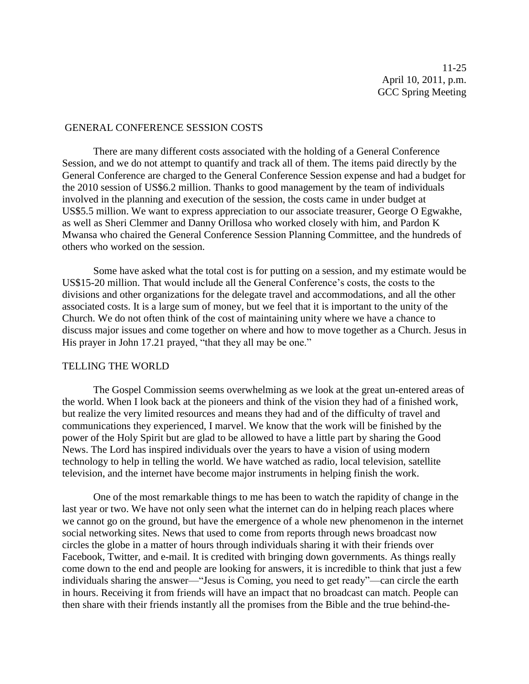#### GENERAL CONFERENCE SESSION COSTS

There are many different costs associated with the holding of a General Conference Session, and we do not attempt to quantify and track all of them. The items paid directly by the General Conference are charged to the General Conference Session expense and had a budget for the 2010 session of US\$6.2 million. Thanks to good management by the team of individuals involved in the planning and execution of the session, the costs came in under budget at US\$5.5 million. We want to express appreciation to our associate treasurer, George O Egwakhe, as well as Sheri Clemmer and Danny Orillosa who worked closely with him, and Pardon K Mwansa who chaired the General Conference Session Planning Committee, and the hundreds of others who worked on the session.

Some have asked what the total cost is for putting on a session, and my estimate would be US\$15-20 million. That would include all the General Conference's costs, the costs to the divisions and other organizations for the delegate travel and accommodations, and all the other associated costs. It is a large sum of money, but we feel that it is important to the unity of the Church. We do not often think of the cost of maintaining unity where we have a chance to discuss major issues and come together on where and how to move together as a Church. Jesus in His prayer in John 17.21 prayed, "that they all may be one."

#### TELLING THE WORLD

The Gospel Commission seems overwhelming as we look at the great un-entered areas of the world. When I look back at the pioneers and think of the vision they had of a finished work, but realize the very limited resources and means they had and of the difficulty of travel and communications they experienced, I marvel. We know that the work will be finished by the power of the Holy Spirit but are glad to be allowed to have a little part by sharing the Good News. The Lord has inspired individuals over the years to have a vision of using modern technology to help in telling the world. We have watched as radio, local television, satellite television, and the internet have become major instruments in helping finish the work.

One of the most remarkable things to me has been to watch the rapidity of change in the last year or two. We have not only seen what the internet can do in helping reach places where we cannot go on the ground, but have the emergence of a whole new phenomenon in the internet social networking sites. News that used to come from reports through news broadcast now circles the globe in a matter of hours through individuals sharing it with their friends over Facebook, Twitter, and e-mail. It is credited with bringing down governments. As things really come down to the end and people are looking for answers, it is incredible to think that just a few individuals sharing the answer—"Jesus is Coming, you need to get ready"—can circle the earth in hours. Receiving it from friends will have an impact that no broadcast can match. People can then share with their friends instantly all the promises from the Bible and the true behind-the-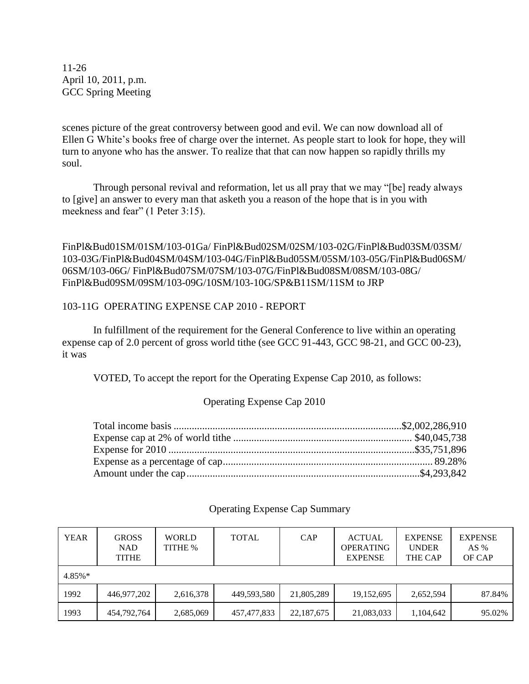11-26 April 10, 2011, p.m. GCC Spring Meeting

scenes picture of the great controversy between good and evil. We can now download all of Ellen G White's books free of charge over the internet. As people start to look for hope, they will turn to anyone who has the answer. To realize that that can now happen so rapidly thrills my soul.

Through personal revival and reformation, let us all pray that we may "[be] ready always to [give] an answer to every man that asketh you a reason of the hope that is in you with meekness and fear" (1 Peter 3:15).

FinPl&Bud01SM/01SM/103-01Ga/ FinPl&Bud02SM/02SM/103-02G/FinPl&Bud03SM/03SM/ 103-03G/FinPl&Bud04SM/04SM/103-04G/FinPl&Bud05SM/05SM/103-05G/FinPl&Bud06SM/ 06SM/103-06G/ FinPl&Bud07SM/07SM/103-07G/FinPl&Bud08SM/08SM/103-08G/ FinPl&Bud09SM/09SM/103-09G/10SM/103-10G/SP&B11SM/11SM to JRP

#### 103-11G OPERATING EXPENSE CAP 2010 - REPORT

In fulfillment of the requirement for the General Conference to live within an operating expense cap of 2.0 percent of gross world tithe (see GCC 91-443, GCC 98-21, and GCC 00-23), it was

VOTED, To accept the report for the Operating Expense Cap 2010, as follows:

#### Operating Expense Cap 2010

| <b>YEAR</b> | <b>GROSS</b><br>NAD<br><b>TITHE</b> | <b>WORLD</b><br>TITHE % | <b>TOTAL</b> | CAP        | <b>ACTUAL</b><br><b>OPERATING</b><br><b>EXPENSE</b> | <b>EXPENSE</b><br><b>UNDER</b><br>THE CAP | <b>EXPENSE</b><br>AS $%$<br>OF CAP |
|-------------|-------------------------------------|-------------------------|--------------|------------|-----------------------------------------------------|-------------------------------------------|------------------------------------|
| $4.85\%*$   |                                     |                         |              |            |                                                     |                                           |                                    |
| 1992        | 446,977,202                         | 2,616,378               | 449,593,580  | 21,805,289 | 19,152,695                                          | 2,652,594                                 | 87.84%                             |
| 1993        | 454,792,764                         | 2,685,069               | 457,477,833  | 22,187,675 | 21,083,033                                          | 1,104,642                                 | 95.02%                             |

#### Operating Expense Cap Summary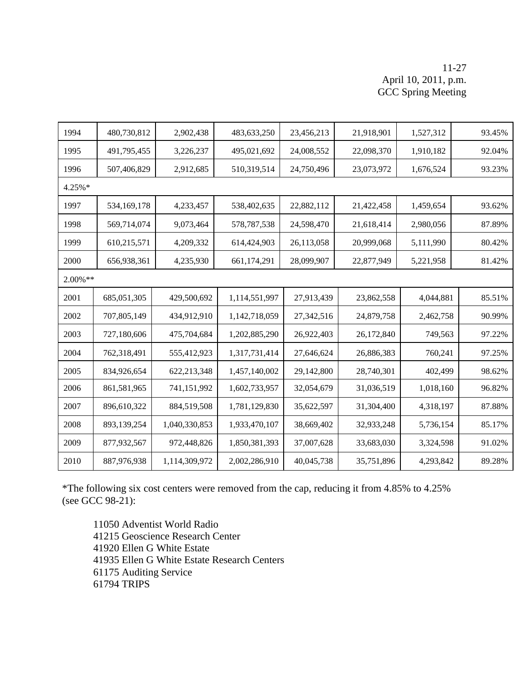#### 11-27 April 10, 2011, p.m. GCC Spring Meeting

| 1994       | 480,730,812 | 2,902,438     | 483,633,250   | 23,456,213 | 21,918,901 | 1,527,312 | 93.45% |
|------------|-------------|---------------|---------------|------------|------------|-----------|--------|
| 1995       | 491,795,455 | 3,226,237     | 495,021,692   | 24,008,552 | 22,098,370 | 1,910,182 | 92.04% |
| 1996       | 507,406,829 | 2,912,685     | 510,319,514   | 24,750,496 | 23,073,972 | 1,676,524 | 93.23% |
| 4.25%*     |             |               |               |            |            |           |        |
| 1997       | 534,169,178 | 4,233,457     | 538,402,635   | 22,882,112 | 21,422,458 | 1,459,654 | 93.62% |
| 1998       | 569,714,074 | 9,073,464     | 578, 787, 538 | 24,598,470 | 21,618,414 | 2,980,056 | 87.89% |
| 1999       | 610,215,571 | 4,209,332     | 614,424,903   | 26,113,058 | 20,999,068 | 5,111,990 | 80.42% |
| 2000       | 656,938,361 | 4,235,930     | 661,174,291   | 28,099,907 | 22,877,949 | 5,221,958 | 81.42% |
| $2.00\%**$ |             |               |               |            |            |           |        |
| 2001       | 685,051,305 | 429,500,692   | 1,114,551,997 | 27,913,439 | 23,862,558 | 4,044,881 | 85.51% |
| 2002       | 707,805,149 | 434,912,910   | 1,142,718,059 | 27,342,516 | 24,879,758 | 2,462,758 | 90.99% |
| 2003       | 727,180,606 | 475,704,684   | 1,202,885,290 | 26,922,403 | 26,172,840 | 749,563   | 97.22% |
| 2004       | 762,318,491 | 555,412,923   | 1,317,731,414 | 27,646,624 | 26,886,383 | 760,241   | 97.25% |
| 2005       | 834,926,654 | 622,213,348   | 1,457,140,002 | 29,142,800 | 28,740,301 | 402,499   | 98.62% |
| 2006       | 861,581,965 | 741,151,992   | 1,602,733,957 | 32,054,679 | 31,036,519 | 1,018,160 | 96.82% |
| 2007       | 896,610,322 | 884,519,508   | 1,781,129,830 | 35,622,597 | 31,304,400 | 4,318,197 | 87.88% |
| 2008       | 893,139,254 | 1,040,330,853 | 1,933,470,107 | 38,669,402 | 32,933,248 | 5,736,154 | 85.17% |
| 2009       | 877,932,567 | 972,448,826   | 1,850,381,393 | 37,007,628 | 33,683,030 | 3,324,598 | 91.02% |
| 2010       | 887,976,938 | 1,114,309,972 | 2,002,286,910 | 40,045,738 | 35,751,896 | 4,293,842 | 89.28% |

\*The following six cost centers were removed from the cap, reducing it from 4.85% to 4.25% (see GCC 98-21):

11050 Adventist World Radio 41215 Geoscience Research Center 41920 Ellen G White Estate 41935 Ellen G White Estate Research Centers 61175 Auditing Service 61794 TRIPS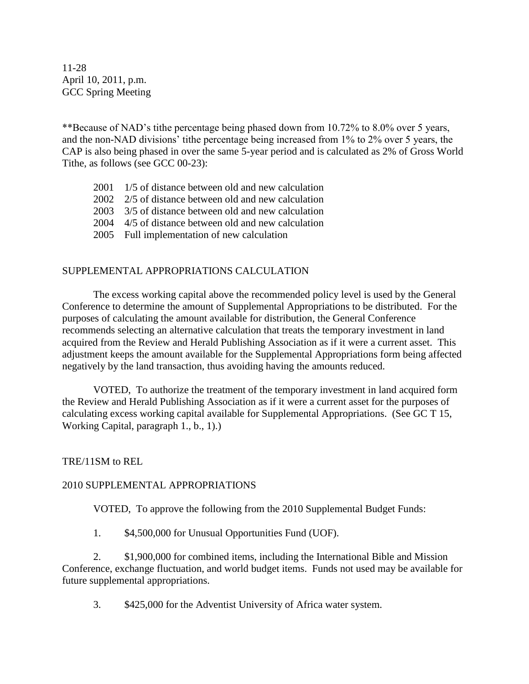11-28 April 10, 2011, p.m. GCC Spring Meeting

\*\*Because of NAD's tithe percentage being phased down from 10.72% to 8.0% over 5 years, and the non-NAD divisions' tithe percentage being increased from 1% to 2% over 5 years, the CAP is also being phased in over the same 5-year period and is calculated as 2% of Gross World Tithe, as follows (see GCC 00-23):

- 2001 1/5 of distance between old and new calculation
- 2002 2/5 of distance between old and new calculation
- 2003 3/5 of distance between old and new calculation
- 2004 4/5 of distance between old and new calculation
- 2005 Full implementation of new calculation

#### SUPPLEMENTAL APPROPRIATIONS CALCULATION

The excess working capital above the recommended policy level is used by the General Conference to determine the amount of Supplemental Appropriations to be distributed. For the purposes of calculating the amount available for distribution, the General Conference recommends selecting an alternative calculation that treats the temporary investment in land acquired from the Review and Herald Publishing Association as if it were a current asset. This adjustment keeps the amount available for the Supplemental Appropriations form being affected negatively by the land transaction, thus avoiding having the amounts reduced.

VOTED, To authorize the treatment of the temporary investment in land acquired form the Review and Herald Publishing Association as if it were a current asset for the purposes of calculating excess working capital available for Supplemental Appropriations. (See GC T 15, Working Capital, paragraph 1., b., 1).)

#### TRE/11SM to REL

#### 2010 SUPPLEMENTAL APPROPRIATIONS

VOTED, To approve the following from the 2010 Supplemental Budget Funds:

1. \$4,500,000 for Unusual Opportunities Fund (UOF).

2. \$1,900,000 for combined items, including the International Bible and Mission Conference, exchange fluctuation, and world budget items. Funds not used may be available for future supplemental appropriations.

3. \$425,000 for the Adventist University of Africa water system.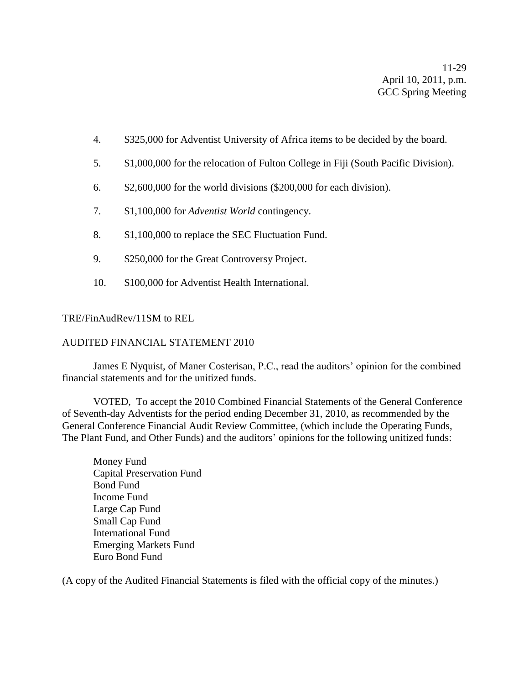- 4. \$325,000 for Adventist University of Africa items to be decided by the board.
- 5. \$1,000,000 for the relocation of Fulton College in Fiji (South Pacific Division).
- 6. \$2,600,000 for the world divisions (\$200,000 for each division).
- 7. \$1,100,000 for *Adventist World* contingency.
- 8. \$1,100,000 to replace the SEC Fluctuation Fund.
- 9. \$250,000 for the Great Controversy Project.
- 10. \$100,000 for Adventist Health International.

#### TRE/FinAudRev/11SM to REL

#### AUDITED FINANCIAL STATEMENT 2010

James E Nyquist, of Maner Costerisan, P.C., read the auditors' opinion for the combined financial statements and for the unitized funds.

VOTED, To accept the 2010 Combined Financial Statements of the General Conference of Seventh-day Adventists for the period ending December 31, 2010, as recommended by the General Conference Financial Audit Review Committee, (which include the Operating Funds, The Plant Fund, and Other Funds) and the auditors' opinions for the following unitized funds:

Money Fund Capital Preservation Fund Bond Fund Income Fund Large Cap Fund Small Cap Fund International Fund Emerging Markets Fund Euro Bond Fund

(A copy of the Audited Financial Statements is filed with the official copy of the minutes.)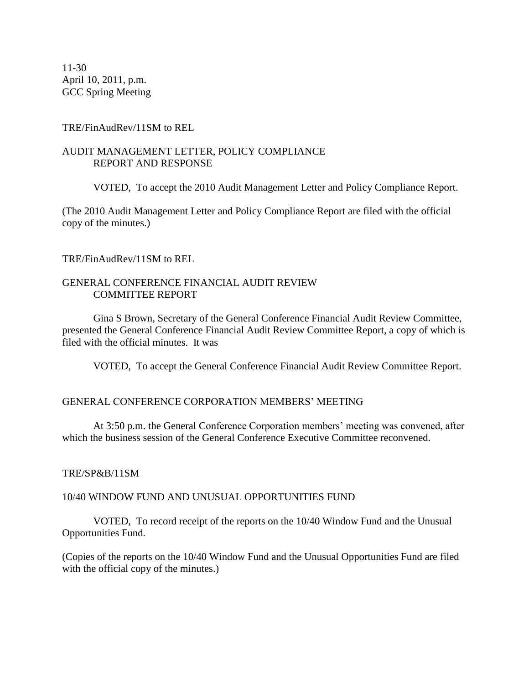11-30 April 10, 2011, p.m. GCC Spring Meeting

#### TRE/FinAudRev/11SM to REL

#### AUDIT MANAGEMENT LETTER, POLICY COMPLIANCE REPORT AND RESPONSE

VOTED, To accept the 2010 Audit Management Letter and Policy Compliance Report.

(The 2010 Audit Management Letter and Policy Compliance Report are filed with the official copy of the minutes.)

#### TRE/FinAudRev/11SM to REL

#### GENERAL CONFERENCE FINANCIAL AUDIT REVIEW COMMITTEE REPORT

Gina S Brown, Secretary of the General Conference Financial Audit Review Committee, presented the General Conference Financial Audit Review Committee Report, a copy of which is filed with the official minutes. It was

VOTED, To accept the General Conference Financial Audit Review Committee Report.

#### GENERAL CONFERENCE CORPORATION MEMBERS' MEETING

At 3:50 p.m. the General Conference Corporation members' meeting was convened, after which the business session of the General Conference Executive Committee reconvened.

#### TRE/SP&B/11SM

#### 10/40 WINDOW FUND AND UNUSUAL OPPORTUNITIES FUND

VOTED, To record receipt of the reports on the 10/40 Window Fund and the Unusual Opportunities Fund.

(Copies of the reports on the 10/40 Window Fund and the Unusual Opportunities Fund are filed with the official copy of the minutes.)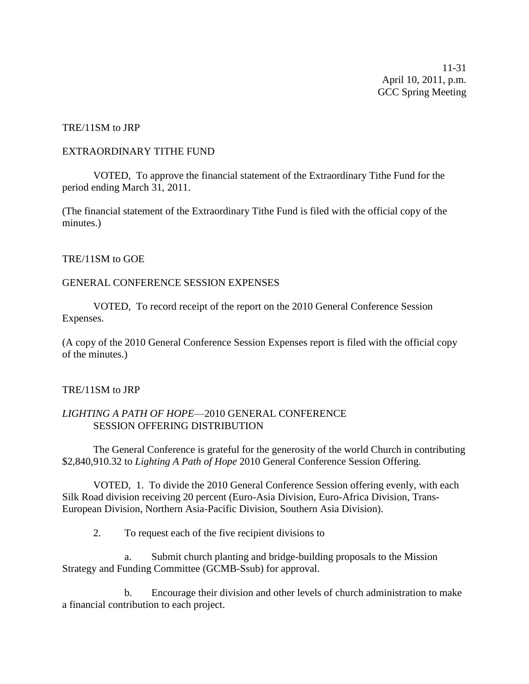11-31 April 10, 2011, p.m. GCC Spring Meeting

#### TRE/11SM to JRP

#### EXTRAORDINARY TITHE FUND

VOTED, To approve the financial statement of the Extraordinary Tithe Fund for the period ending March 31, 2011.

(The financial statement of the Extraordinary Tithe Fund is filed with the official copy of the minutes.)

#### TRE/11SM to GOE

#### GENERAL CONFERENCE SESSION EXPENSES

VOTED, To record receipt of the report on the 2010 General Conference Session Expenses.

(A copy of the 2010 General Conference Session Expenses report is filed with the official copy of the minutes.)

#### TRE/11SM to JRP

#### *LIGHTING A PATH OF HOPE*—2010 GENERAL CONFERENCE SESSION OFFERING DISTRIBUTION

The General Conference is grateful for the generosity of the world Church in contributing \$2,840,910.32 to *Lighting A Path of Hope* 2010 General Conference Session Offering.

VOTED, 1. To divide the 2010 General Conference Session offering evenly, with each Silk Road division receiving 20 percent (Euro-Asia Division, Euro-Africa Division, Trans-European Division, Northern Asia-Pacific Division, Southern Asia Division).

2. To request each of the five recipient divisions to

a. Submit church planting and bridge-building proposals to the Mission Strategy and Funding Committee (GCMB-Ssub) for approval.

b. Encourage their division and other levels of church administration to make a financial contribution to each project.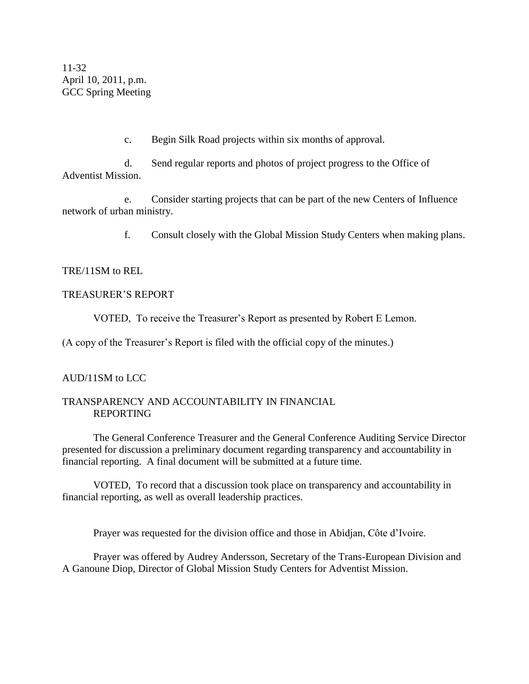11-32 April 10, 2011, p.m. GCC Spring Meeting

c. Begin Silk Road projects within six months of approval.

d. Send regular reports and photos of project progress to the Office of Adventist Mission.

e. Consider starting projects that can be part of the new Centers of Influence network of urban ministry.

f. Consult closely with the Global Mission Study Centers when making plans.

#### TRE/11SM to REL

#### TREASURER'S REPORT

VOTED, To receive the Treasurer's Report as presented by Robert E Lemon.

(A copy of the Treasurer's Report is filed with the official copy of the minutes.)

#### AUD/11SM to LCC

#### TRANSPARENCY AND ACCOUNTABILITY IN FINANCIAL REPORTING

The General Conference Treasurer and the General Conference Auditing Service Director presented for discussion a preliminary document regarding transparency and accountability in financial reporting. A final document will be submitted at a future time.

VOTED, To record that a discussion took place on transparency and accountability in financial reporting, as well as overall leadership practices.

Prayer was requested for the division office and those in Abidjan, Côte d'Ivoire.

Prayer was offered by Audrey Andersson, Secretary of the Trans-European Division and A Ganoune Diop, Director of Global Mission Study Centers for Adventist Mission.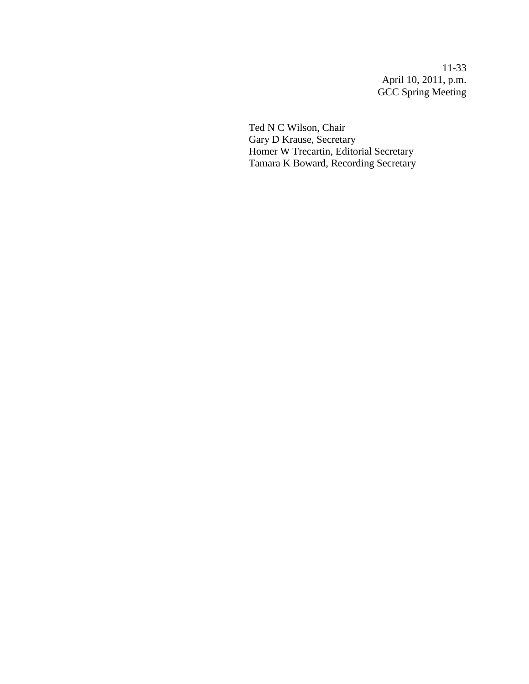11-33 April 10, 2011, p.m. GCC Spring Meeting

Ted N C Wilson, Chair Gary D Krause, Secretary Homer W Trecartin, Editorial Secretary Tamara K Boward, Recording Secretary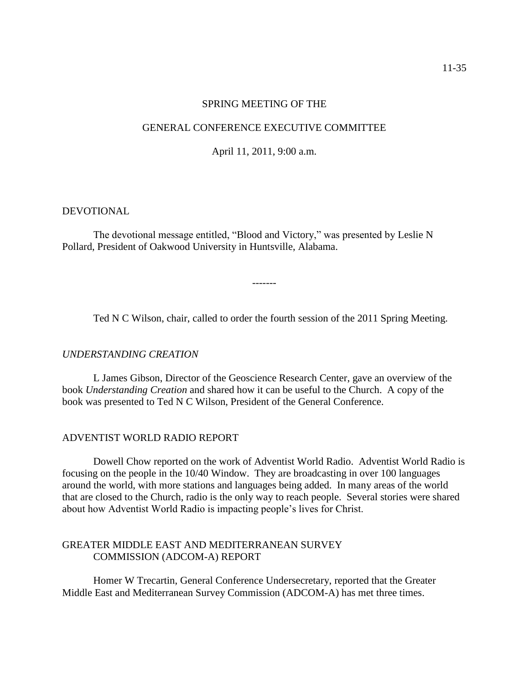#### SPRING MEETING OF THE

#### GENERAL CONFERENCE EXECUTIVE COMMITTEE

April 11, 2011, 9:00 a.m.

#### DEVOTIONAL

The devotional message entitled, "Blood and Victory," was presented by Leslie N Pollard, President of Oakwood University in Huntsville, Alabama.

Ted N C Wilson, chair, called to order the fourth session of the 2011 Spring Meeting.

-------

#### *UNDERSTANDING CREATION*

L James Gibson, Director of the Geoscience Research Center, gave an overview of the book *Understanding Creation* and shared how it can be useful to the Church. A copy of the book was presented to Ted N C Wilson, President of the General Conference.

#### ADVENTIST WORLD RADIO REPORT

Dowell Chow reported on the work of Adventist World Radio. Adventist World Radio is focusing on the people in the 10/40 Window. They are broadcasting in over 100 languages around the world, with more stations and languages being added. In many areas of the world that are closed to the Church, radio is the only way to reach people. Several stories were shared about how Adventist World Radio is impacting people's lives for Christ.

#### GREATER MIDDLE EAST AND MEDITERRANEAN SURVEY COMMISSION (ADCOM-A) REPORT

Homer W Trecartin, General Conference Undersecretary, reported that the Greater Middle East and Mediterranean Survey Commission (ADCOM-A) has met three times.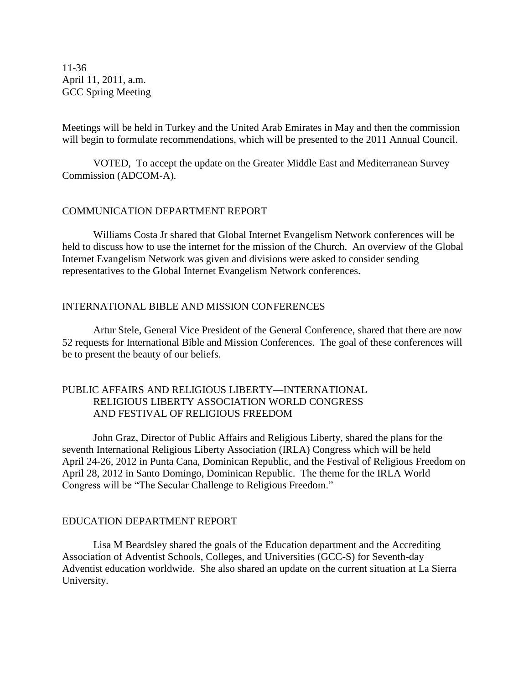11-36 April 11, 2011, a.m. GCC Spring Meeting

Meetings will be held in Turkey and the United Arab Emirates in May and then the commission will begin to formulate recommendations, which will be presented to the 2011 Annual Council.

VOTED, To accept the update on the Greater Middle East and Mediterranean Survey Commission (ADCOM-A).

#### COMMUNICATION DEPARTMENT REPORT

Williams Costa Jr shared that Global Internet Evangelism Network conferences will be held to discuss how to use the internet for the mission of the Church. An overview of the Global Internet Evangelism Network was given and divisions were asked to consider sending representatives to the Global Internet Evangelism Network conferences.

#### INTERNATIONAL BIBLE AND MISSION CONFERENCES

Artur Stele, General Vice President of the General Conference, shared that there are now 52 requests for International Bible and Mission Conferences. The goal of these conferences will be to present the beauty of our beliefs.

#### PUBLIC AFFAIRS AND RELIGIOUS LIBERTY—INTERNATIONAL RELIGIOUS LIBERTY ASSOCIATION WORLD CONGRESS AND FESTIVAL OF RELIGIOUS FREEDOM

John Graz, Director of Public Affairs and Religious Liberty, shared the plans for the seventh International Religious Liberty Association (IRLA) Congress which will be held April 24-26, 2012 in Punta Cana, Dominican Republic, and the Festival of Religious Freedom on April 28, 2012 in Santo Domingo, Dominican Republic. The theme for the IRLA World Congress will be "The Secular Challenge to Religious Freedom."

#### EDUCATION DEPARTMENT REPORT

Lisa M Beardsley shared the goals of the Education department and the Accrediting Association of Adventist Schools, Colleges, and Universities (GCC-S) for Seventh-day Adventist education worldwide. She also shared an update on the current situation at La Sierra University.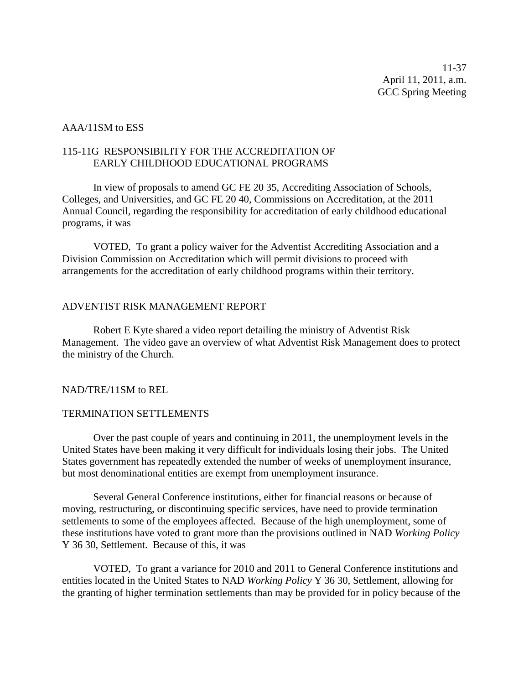11-37 April 11, 2011, a.m. GCC Spring Meeting

#### AAA/11SM to ESS

#### 115-11G RESPONSIBILITY FOR THE ACCREDITATION OF EARLY CHILDHOOD EDUCATIONAL PROGRAMS

In view of proposals to amend GC FE 20 35, Accrediting Association of Schools, Colleges, and Universities, and GC FE 20 40, Commissions on Accreditation, at the 2011 Annual Council, regarding the responsibility for accreditation of early childhood educational programs, it was

VOTED, To grant a policy waiver for the Adventist Accrediting Association and a Division Commission on Accreditation which will permit divisions to proceed with arrangements for the accreditation of early childhood programs within their territory.

#### ADVENTIST RISK MANAGEMENT REPORT

Robert E Kyte shared a video report detailing the ministry of Adventist Risk Management. The video gave an overview of what Adventist Risk Management does to protect the ministry of the Church.

#### NAD/TRE/11SM to REL

#### TERMINATION SETTLEMENTS

Over the past couple of years and continuing in 2011, the unemployment levels in the United States have been making it very difficult for individuals losing their jobs. The United States government has repeatedly extended the number of weeks of unemployment insurance, but most denominational entities are exempt from unemployment insurance.

Several General Conference institutions, either for financial reasons or because of moving, restructuring, or discontinuing specific services, have need to provide termination settlements to some of the employees affected. Because of the high unemployment, some of these institutions have voted to grant more than the provisions outlined in NAD *Working Policy* Y 36 30, Settlement. Because of this, it was

VOTED, To grant a variance for 2010 and 2011 to General Conference institutions and entities located in the United States to NAD *Working Policy* Y 36 30, Settlement, allowing for the granting of higher termination settlements than may be provided for in policy because of the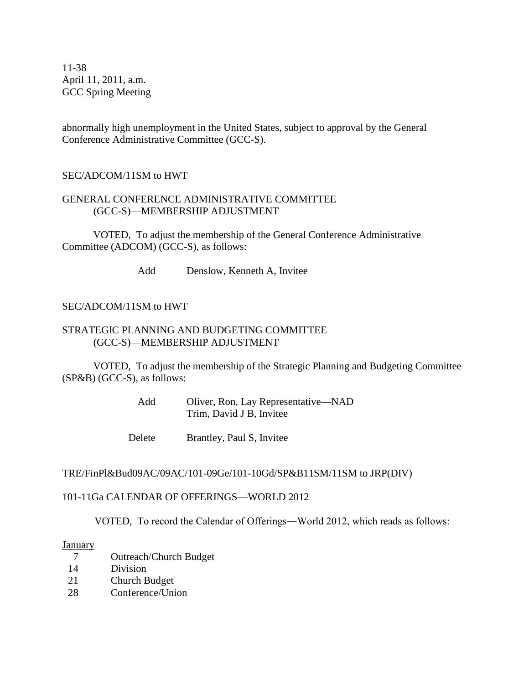11-38 April 11, 2011, a.m. GCC Spring Meeting

abnormally high unemployment in the United States, subject to approval by the General Conference Administrative Committee (GCC-S).

#### SEC/ADCOM/11SM to HWT

#### GENERAL CONFERENCE ADMINISTRATIVE COMMITTEE (GCC-S)—MEMBERSHIP ADJUSTMENT

VOTED, To adjust the membership of the General Conference Administrative Committee (ADCOM) (GCC-S), as follows:

Add Denslow, Kenneth A, Invitee

#### SEC/ADCOM/11SM to HWT

#### STRATEGIC PLANNING AND BUDGETING COMMITTEE (GCC-S)—MEMBERSHIP ADJUSTMENT

VOTED, To adjust the membership of the Strategic Planning and Budgeting Committee (SP&B) (GCC-S), as follows:

| Add | Oliver, Ron, Lay Representative—NAD |
|-----|-------------------------------------|
|     | Trim, David J B, Invitee            |

Delete Brantley, Paul S, Invitee

#### TRE/FinPl&Bud09AC/09AC/101-09Ge/101-10Gd/SP&B11SM/11SM to JRP(DIV)

#### 101-11Ga CALENDAR OF OFFERINGS—WORLD 2012

VOTED, To record the Calendar of Offerings―World 2012, which reads as follows:

#### **January**

- 7 Outreach/Church Budget
- 14 Division
- 21 Church Budget
- 28 Conference/Union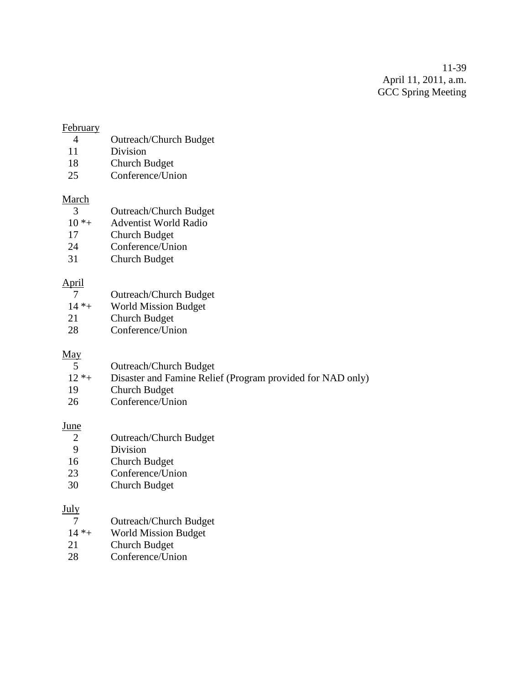11-39 April 11, 2011, a.m. GCC Spring Meeting

#### **February**

- 4 Outreach/Church Budget
- 11 Division
- 18 Church Budget
- 25 Conference/Union

#### March

| <b>Outreach/Church Budget</b><br>- 3 |  |
|--------------------------------------|--|
|--------------------------------------|--|

- 10 \*+ Adventist World Radio
- 17 Church Budget<br>24 Conference/Uni
- Conference/Union
- 31 Church Budget

#### April

7 Outreach/Church Budget<br>14 \*+ World Mission Budget World Mission Budget 21 Church Budget 28 Conference/Union

#### May

|        | <b>Outreach/Church Budget</b>                              |
|--------|------------------------------------------------------------|
| $12*+$ | Disaster and Famine Relief (Program provided for NAD only) |
| -19    | Church Budget                                              |
| 26     | Conference/Union                                           |

#### **June**

| 2           | <b>Outreach/Church Budget</b> |
|-------------|-------------------------------|
| 9           | Division                      |
| 16          | Church Budget                 |
| $2^{\circ}$ | Conferance/Linear             |

23 Conference/Union<br>30 Church Budget **Church Budget** 

#### July

- 7 Outreach/Church Budget
- 14 \*+ World Mission Budget
- 21 Church Budget
- 28 Conference/Union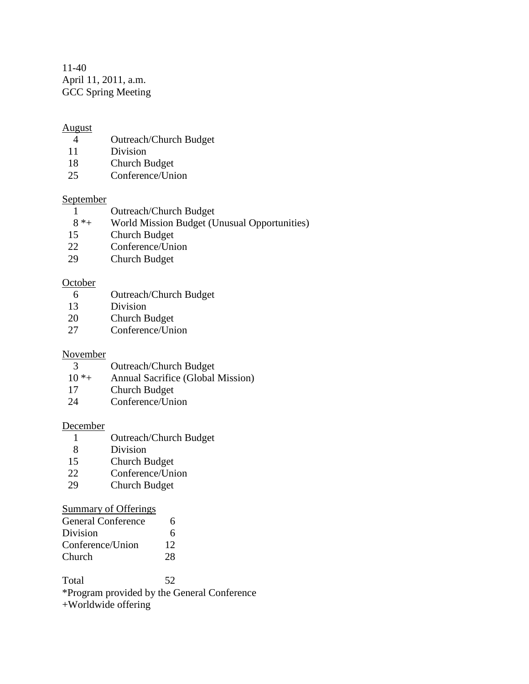11-40 April 11, 2011, a.m. GCC Spring Meeting

#### August

- 4 Outreach/Church Budget
- 11 Division
- 18 Church Budget
- 25 Conference/Union

#### September

- 1 Outreach/Church Budget
- 8 \*+ World Mission Budget (Unusual Opportunities)
- 15 Church Budget
- 22 Conference/Union
- 29 Church Budget

#### **October**

- 6 Outreach/Church Budget
- 13 Division
- 20 Church Budget
- 27 Conference/Union

#### November

- 3 Outreach/Church Budget
- 10 \*+ Annual Sacrifice (Global Mission)
- 17 Church Budget
- 24 Conference/Union

#### December

- 1 Outreach/Church Budget<br>8 Division
- **Division**
- 15 Church Budget
- 22 Conference/Union<br>29 Church Budget
- **Church Budget**

#### Summary of Offerings

| <b>General Conference</b> | 6  |
|---------------------------|----|
| Division                  | 6  |
| Conference/Union          | 12 |
| Church                    | 28 |

Total 52 \*Program provided by the General Conference +Worldwide offering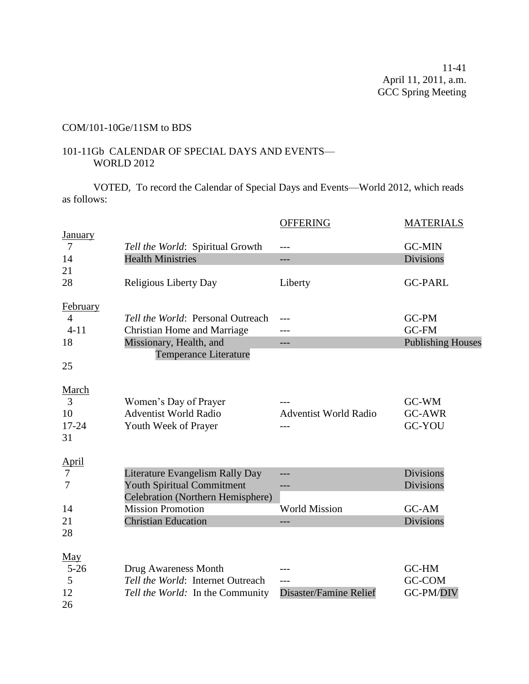### COM/101-10Ge/11SM to BDS

#### 101-11Gb CALENDAR OF SPECIAL DAYS AND EVENTS— WORLD 2012

VOTED, To record the Calendar of Special Days and Events—World 2012, which reads as follows:

|                                  |                                    | <b>OFFERING</b>              | <b>MATERIALS</b>         |
|----------------------------------|------------------------------------|------------------------------|--------------------------|
| <b>January</b><br>$\overline{7}$ | Tell the World: Spiritual Growth   |                              | <b>GC-MIN</b>            |
| 14                               | <b>Health Ministries</b>           | ---                          | <b>Divisions</b>         |
| 21                               |                                    |                              |                          |
| 28                               | Religious Liberty Day              | Liberty                      | <b>GC-PARL</b>           |
| February                         |                                    |                              |                          |
| $\overline{4}$                   | Tell the World: Personal Outreach  | ---                          | GC-PM                    |
| $4 - 11$                         | <b>Christian Home and Marriage</b> |                              | GC-FM                    |
| 18                               | Missionary, Health, and            | ---                          | <b>Publishing Houses</b> |
|                                  | <b>Temperance Literature</b>       |                              |                          |
| 25                               |                                    |                              |                          |
| March                            |                                    |                              |                          |
| 3                                | Women's Day of Prayer              |                              | GC-WM                    |
| 10                               | <b>Adventist World Radio</b>       | <b>Adventist World Radio</b> | <b>GC-AWR</b>            |
| $17 - 24$                        | Youth Week of Prayer               |                              | <b>GC-YOU</b>            |
| 31                               |                                    |                              |                          |
| <b>April</b>                     |                                    |                              |                          |
| 7                                | Literature Evangelism Rally Day    | ---                          | <b>Divisions</b>         |
| 7                                | <b>Youth Spiritual Commitment</b>  | ---                          | <b>Divisions</b>         |
|                                  | Celebration (Northern Hemisphere)  |                              |                          |
| 14                               | <b>Mission Promotion</b>           | <b>World Mission</b>         | GC-AM                    |
| 21                               | <b>Christian Education</b>         | ---                          | <b>Divisions</b>         |
| 28                               |                                    |                              |                          |
| $\underline{May}$                |                                    |                              |                          |
| $5 - 26$                         | Drug Awareness Month               |                              | GC-HM                    |
| 5                                | Tell the World: Internet Outreach  | ---                          | GC-COM                   |
| 12                               | Tell the World: In the Community   | Disaster/Famine Relief       | GC-PM/DIV                |
| 26                               |                                    |                              |                          |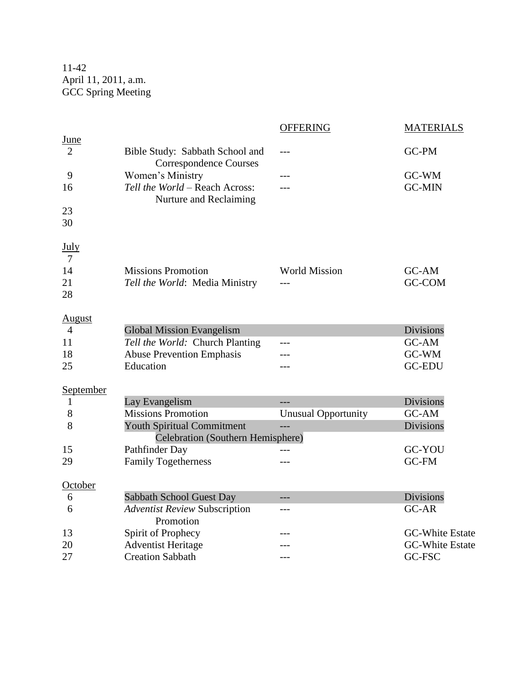11-42 April 11, 2011, a.m. GCC Spring Meeting

|                  |                                                                  | <b>OFFERING</b>            | <b>MATERIALS</b>       |
|------------------|------------------------------------------------------------------|----------------------------|------------------------|
| June             |                                                                  |                            |                        |
| 2                | Bible Study: Sabbath School and<br><b>Correspondence Courses</b> |                            | GC-PM                  |
| 9                | Women's Ministry                                                 |                            | GC-WM                  |
| 16               | Tell the World - Reach Across:<br>Nurture and Reclaiming         |                            | <b>GC-MIN</b>          |
| 23               |                                                                  |                            |                        |
| 30               |                                                                  |                            |                        |
| <u>July</u>      |                                                                  |                            |                        |
| $7\phantom{.0}$  |                                                                  |                            |                        |
| 14               | <b>Missions Promotion</b>                                        | <b>World Mission</b>       | GC-AM                  |
| 21               | Tell the World: Media Ministry                                   |                            | <b>GC-COM</b>          |
| 28               |                                                                  |                            |                        |
| <b>August</b>    |                                                                  |                            |                        |
| 4                | <b>Global Mission Evangelism</b>                                 |                            | Divisions              |
| 11               | Tell the World: Church Planting                                  |                            | GC-AM                  |
| 18               | <b>Abuse Prevention Emphasis</b>                                 |                            | GC-WM                  |
| 25               | Education                                                        |                            | <b>GC-EDU</b>          |
| <b>September</b> |                                                                  |                            |                        |
| 1                | Lay Evangelism                                                   |                            | <b>Divisions</b>       |
| 8                | <b>Missions Promotion</b>                                        | <b>Unusual Opportunity</b> | GC-AM                  |
| 8                | <b>Youth Spiritual Commitment</b>                                |                            | <b>Divisions</b>       |
|                  | Celebration (Southern Hemisphere)                                |                            |                        |
| 15               | Pathfinder Day                                                   |                            | GC-YOU                 |
| 29               | <b>Family Togetherness</b>                                       | ---                        | GC-FM                  |
| October          |                                                                  |                            |                        |
| 6                | Sabbath School Guest Day                                         | ---                        | Divisions              |
| 6                | <b>Adventist Review Subscription</b><br>Promotion                | ---                        | GC-AR                  |
| 13               | Spirit of Prophecy                                               |                            | <b>GC-White Estate</b> |
| 20               | <b>Adventist Heritage</b>                                        |                            | <b>GC-White Estate</b> |
| 27               | <b>Creation Sabbath</b>                                          | ---                        | GC-FSC                 |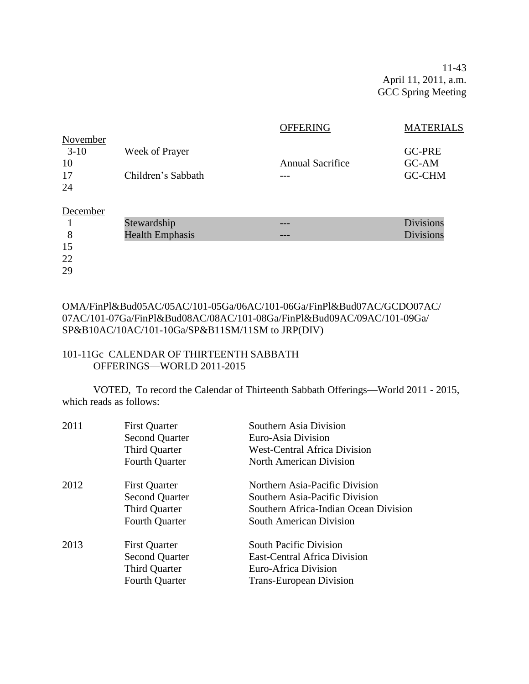11-43 April 11, 2011, a.m. GCC Spring Meeting

|          |                        | <b>OFFERING</b>         | <b>MATERIALS</b> |
|----------|------------------------|-------------------------|------------------|
| November |                        |                         |                  |
| $3-10$   | Week of Prayer         |                         | <b>GC-PRE</b>    |
| 10       |                        | <b>Annual Sacrifice</b> | GC-AM            |
| 17       | Children's Sabbath     |                         | <b>GC-CHM</b>    |
| 24       |                        |                         |                  |
| December |                        |                         |                  |
|          | Stewardship            |                         | <b>Divisions</b> |
| 8        | <b>Health Emphasis</b> |                         | <b>Divisions</b> |
| 15       |                        |                         |                  |
| 22       |                        |                         |                  |
| 29       |                        |                         |                  |

OMA/FinPl&Bud05AC/05AC/101-05Ga/06AC/101-06Ga/FinPl&Bud07AC/GCDO07AC/ 07AC/101-07Ga/FinPl&Bud08AC/08AC/101-08Ga/FinPl&Bud09AC/09AC/101-09Ga/ SP&B10AC/10AC/101-10Ga/SP&B11SM/11SM to JRP(DIV)

#### 101-11Gc CALENDAR OF THIRTEENTH SABBATH OFFERINGS—WORLD 2011-2015

VOTED, To record the Calendar of Thirteenth Sabbath Offerings—World 2011 - 2015, which reads as follows:

| 2011 | <b>First Quarter</b><br><b>Second Quarter</b><br><b>Third Quarter</b><br><b>Fourth Quarter</b> | Southern Asia Division<br>Euro-Asia Division<br><b>West-Central Africa Division</b><br><b>North American Division</b>                       |
|------|------------------------------------------------------------------------------------------------|---------------------------------------------------------------------------------------------------------------------------------------------|
| 2012 | <b>First Quarter</b><br><b>Second Quarter</b><br>Third Quarter<br><b>Fourth Quarter</b>        | Northern Asia-Pacific Division<br>Southern Asia-Pacific Division<br>Southern Africa-Indian Ocean Division<br><b>South American Division</b> |
| 2013 | <b>First Quarter</b><br><b>Second Quarter</b><br><b>Third Quarter</b><br><b>Fourth Quarter</b> | <b>South Pacific Division</b><br><b>East-Central Africa Division</b><br>Euro-Africa Division<br><b>Trans-European Division</b>              |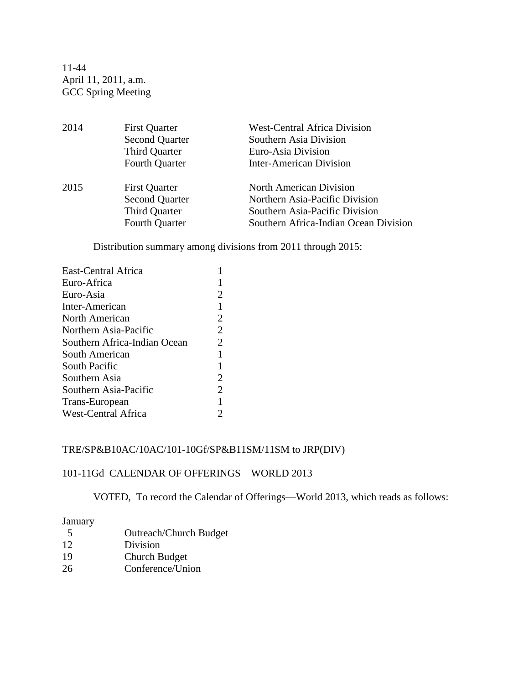11-44 April 11, 2011, a.m. GCC Spring Meeting

2014 First Quarter West-Central Africa Division Second Quarter Southern Asia Division Third Quarter **Euro-Asia Division** Fourth Quarter Inter-American Division 2015 First Quarter North American Division Second Quarter Northern Asia-Pacific Division Third Quarter Southern Asia-Pacific Division Fourth Quarter Southern Africa-Indian Ocean Division

Distribution summary among divisions from 2011 through 2015:

| East-Central Africa          |                |
|------------------------------|----------------|
| Euro-Africa                  |                |
| Euro-Asia                    | 2              |
| Inter-American               | 1              |
| North American               | $\overline{2}$ |
| Northern Asia-Pacific        | $\overline{2}$ |
| Southern Africa-Indian Ocean | 2              |
| South American               | 1              |
| South Pacific                | 1              |
| Southern Asia                | 2              |
| Southern Asia-Pacific        | 2              |
| Trans-European               | 1              |
| <b>West-Central Africa</b>   | 2              |

#### TRE/SP&B10AC/10AC/101-10Gf/SP&B11SM/11SM to JRP(DIV)

#### 101-11Gd CALENDAR OF OFFERINGS—WORLD 2013

VOTED, To record the Calendar of Offerings—World 2013, which reads as follows:

#### **January**

 Outreach/Church Budget 12 Division Church Budget Conference/Union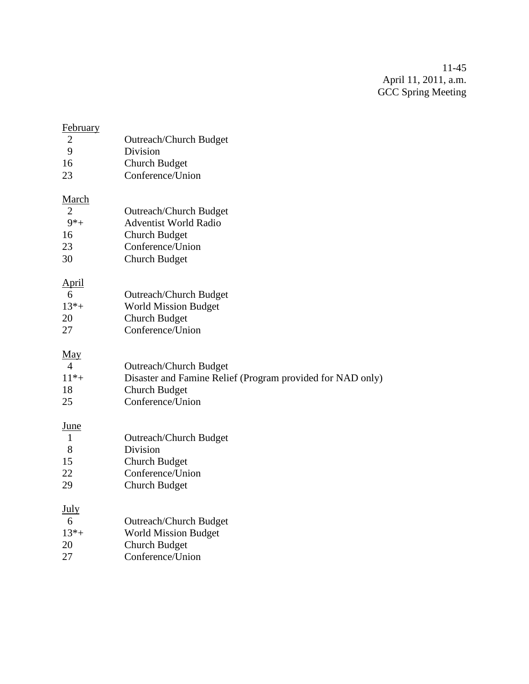11-45 April 11, 2011, a.m. GCC Spring Meeting

| <b>February</b> |                                                            |
|-----------------|------------------------------------------------------------|
| $\overline{2}$  | <b>Outreach/Church Budget</b>                              |
| 9               | Division                                                   |
| 16              | <b>Church Budget</b>                                       |
| 23              | Conference/Union                                           |
| <b>March</b>    |                                                            |
| 2               | <b>Outreach/Church Budget</b>                              |
| $9*+$           | <b>Adventist World Radio</b>                               |
| 16              | <b>Church Budget</b>                                       |
| 23              | Conference/Union                                           |
| 30              | <b>Church Budget</b>                                       |
| <u>April</u>    |                                                            |
| 6               | <b>Outreach/Church Budget</b>                              |
| $13* +$         | <b>World Mission Budget</b>                                |
| 20              | <b>Church Budget</b>                                       |
| 27              | Conference/Union                                           |
| <u>May</u>      |                                                            |
| 4               | <b>Outreach/Church Budget</b>                              |
| $11* +$         | Disaster and Famine Relief (Program provided for NAD only) |
| 18              | Church Budget                                              |
| 25              | Conference/Union                                           |
| <u>June</u>     |                                                            |
| $\mathbf{1}$    | <b>Outreach/Church Budget</b>                              |
| 8               | Division                                                   |
| 15              | <b>Church Budget</b>                                       |
| 22              | Conference/Union                                           |
| 29              | <b>Church Budget</b>                                       |
| <u>July</u>     |                                                            |
| 6               | <b>Outreach/Church Budget</b>                              |
| $13*+$          | <b>World Mission Budget</b>                                |
| 20              | <b>Church Budget</b>                                       |
| 27              | Conference/Union                                           |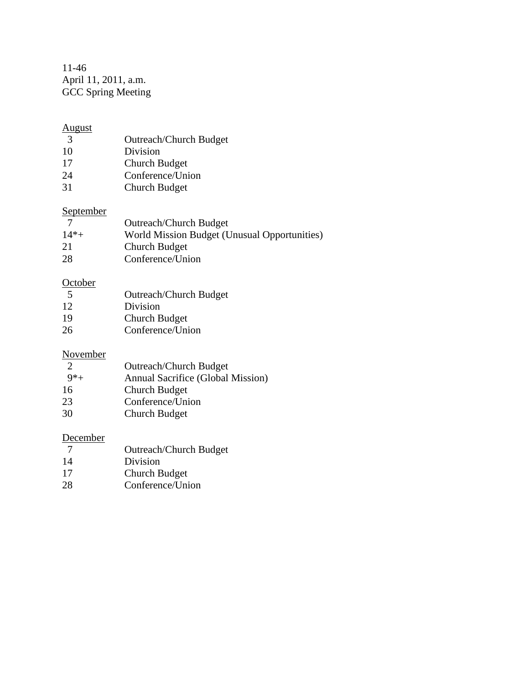11-46 April 11, 2011, a.m. GCC Spring Meeting

# $\frac{\text{August}}{3}$

- 3<br>
Outreach/Church Budget<br>
10<br>
Division
- Division
- 17 Church Budget
- 24 Conference/Union<br>31 Church Budget
- **Church Budget**

### September

| - 7     | <b>Outreach/Church Budget</b>                |
|---------|----------------------------------------------|
| $14* +$ | World Mission Budget (Unusual Opportunities) |
| 21      | <b>Church Budget</b>                         |
| 28      | Conference/Union                             |

### **October**

| - 5 | Outreach/Church Budget |
|-----|------------------------|
| 12  | Division               |
| 19  | Church Budget          |
| 26  | Conference/Union       |

#### November

| $\mathcal{D}$ | <b>Outreach/Church Budget</b>     |
|---------------|-----------------------------------|
| $9*$ +        | Annual Sacrifice (Global Mission) |
| 16            | Church Budget                     |
| 23            | Conference/Union                  |
| 30            | <b>Church Budget</b>              |

### **December**

| - 7 | <b>Outreach/Church Budget</b> |
|-----|-------------------------------|
| 14  | Division                      |
| 17  | Church Budget                 |
| 28  | Conference/Union              |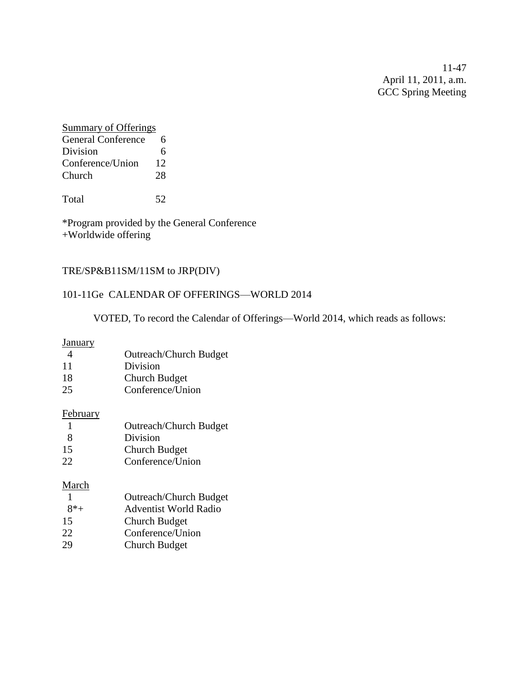11-47 April 11, 2011, a.m. GCC Spring Meeting

### Summary of Offerings General Conference 6 Division 6 Conference/Union 12 Church 28

Total 52

\*Program provided by the General Conference +Worldwide offering

#### TRE/SP&B11SM/11SM to JRP(DIV)

#### 101-11Ge CALENDAR OF OFFERINGS—WORLD 2014

VOTED, To record the Calendar of Offerings—World 2014, which reads as follows:

**January** 

| $\overline{4}$ | <b>Outreach/Church Budget</b> |
|----------------|-------------------------------|
| 11             | n: .: .:                      |

| 11 | Division |  |
|----|----------|--|
|    |          |  |

- 18 Church Budget
- 25 Conference/Union

#### February

- 1 Outreach/Church Budget 8 Division
- 15 Church Budget 22 Conference/Union

#### March

|        | <b>Outreach/Church Budget</b> |
|--------|-------------------------------|
| $8*$ + | <b>Adventist World Radio</b>  |
| 15     | <b>Church Budget</b>          |
| 22     | Conference/Union              |
| 29     | Church Budget                 |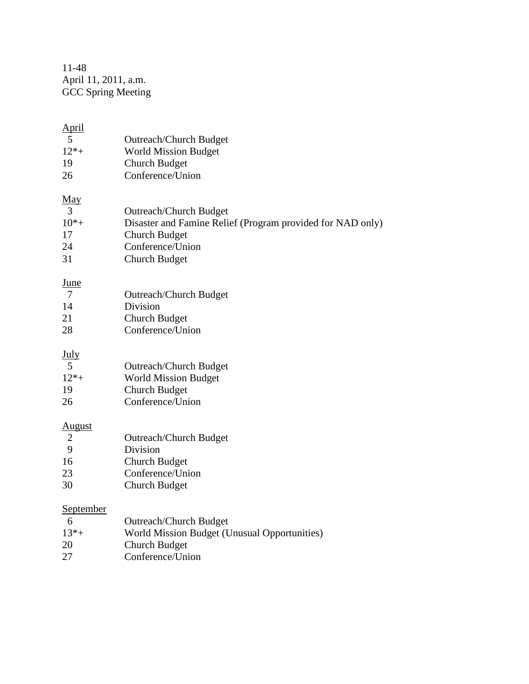11-48 April 11, 2011, a.m. GCC Spring Meeting

| April          |                                                            |
|----------------|------------------------------------------------------------|
| 5              | <b>Outreach/Church Budget</b>                              |
| $12*+$         | <b>World Mission Budget</b>                                |
| 19             | <b>Church Budget</b>                                       |
| 26             | Conference/Union                                           |
| <u>May</u>     |                                                            |
| 3              | <b>Outreach/Church Budget</b>                              |
| $10^{*}+$      | Disaster and Famine Relief (Program provided for NAD only) |
| 17             | <b>Church Budget</b>                                       |
| 24             | Conference/Union                                           |
| 31             | <b>Church Budget</b>                                       |
| <u>June</u>    |                                                            |
| $\overline{7}$ | <b>Outreach/Church Budget</b>                              |
| 14             | Division                                                   |
| 21             | <b>Church Budget</b>                                       |
| 28             | Conference/Union                                           |
| <u>July</u>    |                                                            |
| 5              | <b>Outreach/Church Budget</b>                              |
| $12*+$         | <b>World Mission Budget</b>                                |
| 19             | <b>Church Budget</b>                                       |
| 26             | Conference/Union                                           |
| <u>August</u>  |                                                            |
| $\overline{2}$ | <b>Outreach/Church Budget</b>                              |
| 9              | Division                                                   |
| 16             | <b>Church Budget</b>                                       |
| 23             | Conference/Union                                           |
| 30             | <b>Church Budget</b>                                       |
| September      |                                                            |
| 6              | <b>Outreach/Church Budget</b>                              |
| $13*+$         | World Mission Budget (Unusual Opportunities)               |
| 20             | <b>Church Budget</b>                                       |

27 Conference/Union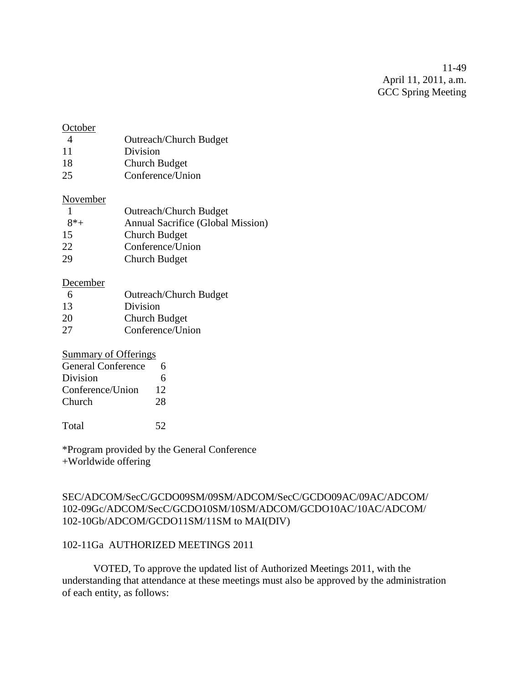11-49 April 11, 2011, a.m. GCC Spring Meeting

#### **October**

- 4 Outreach/Church Budget 11 Division
- 18 Church Budget
- 25 Conference/Union

#### November

|        | <b>Outreach/Church Budget</b>     |
|--------|-----------------------------------|
| $8*$ + | Annual Sacrifice (Global Mission) |
| 15     | Church Budget                     |
| 22     | Conference/Union                  |
| 29     | Church Budget                     |

#### December

| -6 | <b>Outreach/Church Budget</b> |
|----|-------------------------------|
| 13 | Division                      |
| 20 | Church Budget                 |
| 27 | Conference/Union              |

#### Summary of Offerings

| <b>General Conference</b> | h  |
|---------------------------|----|
| Division                  | 6  |
| Conference/Union          | 12 |
| Church                    | 28 |
|                           |    |

Total 52

\*Program provided by the General Conference +Worldwide offering

#### SEC/ADCOM/SecC/GCDO09SM/09SM/ADCOM/SecC/GCDO09AC/09AC/ADCOM/ 102-09Gc/ADCOM/SecC/GCDO10SM/10SM/ADCOM/GCDO10AC/10AC/ADCOM/ 102-10Gb/ADCOM/GCDO11SM/11SM to MAI(DIV)

#### 102-11Ga AUTHORIZED MEETINGS 2011

VOTED, To approve the updated list of Authorized Meetings 2011, with the understanding that attendance at these meetings must also be approved by the administration of each entity, as follows: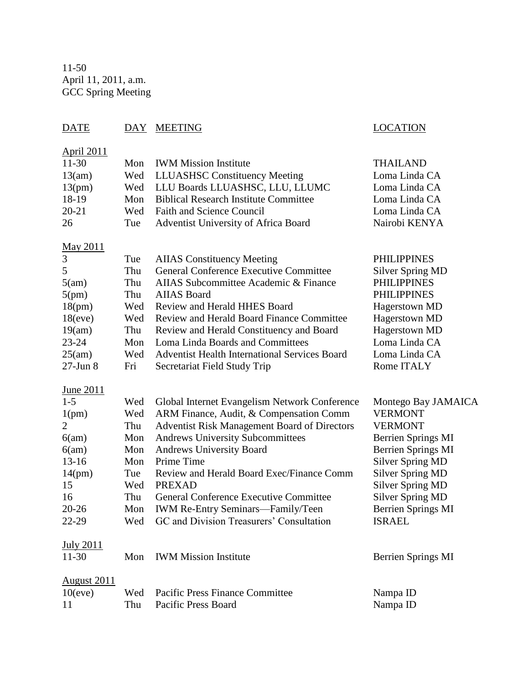11-50 April 11, 2011, a.m. GCC Spring Meeting

### DATE DAY MEETING LOCATION

| <b>April 2011</b> |     |                                                     |                           |
|-------------------|-----|-----------------------------------------------------|---------------------------|
| $11-30$           | Mon | <b>IWM Mission Institute</b>                        | THAILAND                  |
| 13(am)            | Wed | <b>LLUASHSC Constituency Meeting</b>                | Loma Linda CA             |
| 13(pm)            | Wed | LLU Boards LLUASHSC, LLU, LLUMC                     | Loma Linda CA             |
| 18-19             | Mon | <b>Biblical Research Institute Committee</b>        | Loma Linda CA             |
| $20 - 21$         | Wed | <b>Faith and Science Council</b>                    | Loma Linda CA             |
| 26                | Tue | Adventist University of Africa Board                | Nairobi KENYA             |
| May 2011          |     |                                                     |                           |
| $\mathfrak{Z}$    | Tue | <b>AIIAS</b> Constituency Meeting                   | <b>PHILIPPINES</b>        |
| 5                 | Thu | General Conference Executive Committee              | <b>Silver Spring MD</b>   |
| 5(am)             | Thu | AIIAS Subcommittee Academic & Finance               | <b>PHILIPPINES</b>        |
| 5(pm)             | Thu | <b>AIIAS</b> Board                                  | <b>PHILIPPINES</b>        |
| 18(pm)            | Wed | <b>Review and Herald HHES Board</b>                 | <b>Hagerstown MD</b>      |
| 18(eve)           | Wed | <b>Review and Herald Board Finance Committee</b>    | Hagerstown MD             |
| 19(am)            | Thu | Review and Herald Constituency and Board            | Hagerstown MD             |
| $23 - 24$         | Mon | Loma Linda Boards and Committees                    | Loma Linda CA             |
| 25(am)            | Wed | Adventist Health International Services Board       | Loma Linda CA             |
| $27$ -Jun $8$     | Fri | Secretariat Field Study Trip                        | Rome ITALY                |
| June 2011         |     |                                                     |                           |
| $1 - 5$           | Wed | Global Internet Evangelism Network Conference       | Montego Bay JAMAICA       |
| 1(pm)             | Wed | ARM Finance, Audit, & Compensation Comm             | <b>VERMONT</b>            |
| $\overline{2}$    | Thu | <b>Adventist Risk Management Board of Directors</b> | <b>VERMONT</b>            |
| 6(am)             | Mon | <b>Andrews University Subcommittees</b>             | <b>Berrien Springs MI</b> |
| 6(am)             | Mon | <b>Andrews University Board</b>                     | <b>Berrien Springs MI</b> |
| $13 - 16$         | Mon | Prime Time                                          | <b>Silver Spring MD</b>   |
| 14(pm)            | Tue | Review and Herald Board Exec/Finance Comm           | <b>Silver Spring MD</b>   |
| 15                | Wed | <b>PREXAD</b>                                       | <b>Silver Spring MD</b>   |
| 16                | Thu | <b>General Conference Executive Committee</b>       | <b>Silver Spring MD</b>   |
| $20 - 26$         | Mon | IWM Re-Entry Seminars-Family/Teen                   | <b>Berrien Springs MI</b> |
| 22-29             | Wed | GC and Division Treasurers' Consultation            | <b>ISRAEL</b>             |
| <b>July 2011</b>  |     |                                                     |                           |
| $11-30$           | Mon | <b>IWM Mission Institute</b>                        | <b>Berrien Springs MI</b> |
| August 2011       |     |                                                     |                           |
| 10(eve)           | Wed | <b>Pacific Press Finance Committee</b>              | Nampa ID                  |
| 11                | Thu | Pacific Press Board                                 | Nampa ID                  |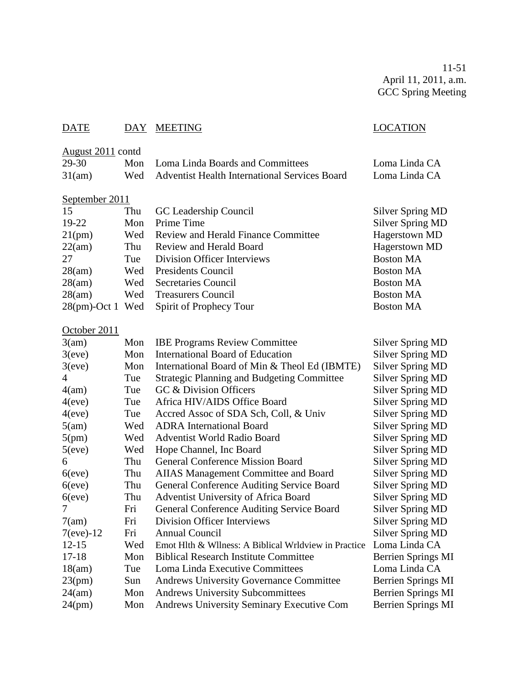11-51 April 11, 2011, a.m. GCC Spring Meeting

### DATE DAY MEETING LOCATION

### August 2011 contd

| 29-30  | Mon Loma Linda Boards and Committees              | Loma Linda CA |
|--------|---------------------------------------------------|---------------|
| 31(am) | Wed Adventist Health International Services Board | Loma Linda CA |

# September 2011

| 15      | Thu | GC Leadership Council                      | <b>Silver Spring MD</b> |
|---------|-----|--------------------------------------------|-------------------------|
| $19-22$ | Mon | Prime Time                                 | <b>Silver Spring MD</b> |
| 21(pm)  | Wed | <b>Review and Herald Finance Committee</b> | Hagerstown MD           |
| 22(am)  | Thu | Review and Herald Board                    | Hagerstown MD           |
| 27      | Tue | Division Officer Interviews                | <b>Boston MA</b>        |
| 28(am)  |     | Wed Presidents Council                     | <b>Boston MA</b>        |
| 28(am)  |     | Wed Secretaries Council                    | <b>Boston MA</b>        |
| 28(am)  | Wed | <b>Treasurers Council</b>                  | <b>Boston MA</b>        |
|         |     | 28(pm)-Oct 1 Wed Spirit of Prophecy Tour   | <b>Boston MA</b>        |

# October 2011

| 3(am)        | Mon | <b>IBE Programs Review Committee</b>                 | <b>Silver Spring MD</b>   |
|--------------|-----|------------------------------------------------------|---------------------------|
| 3(eve)       | Mon | International Board of Education                     | <b>Silver Spring MD</b>   |
| 3(eve)       | Mon | International Board of Min & Theol Ed (IBMTE)        | <b>Silver Spring MD</b>   |
| 4            | Tue | <b>Strategic Planning and Budgeting Committee</b>    | <b>Silver Spring MD</b>   |
| 4(am)        | Tue | GC & Division Officers                               | <b>Silver Spring MD</b>   |
| 4(eve)       | Tue | Africa HIV/AIDS Office Board                         | <b>Silver Spring MD</b>   |
| 4(eve)       | Tue | Accred Assoc of SDA Sch, Coll, & Univ                | <b>Silver Spring MD</b>   |
| 5(am)        | Wed | <b>ADRA</b> International Board                      | <b>Silver Spring MD</b>   |
| 5(pm)        | Wed | Adventist World Radio Board                          | <b>Silver Spring MD</b>   |
| 5(eve)       | Wed | Hope Channel, Inc Board                              | <b>Silver Spring MD</b>   |
| 6            | Thu | <b>General Conference Mission Board</b>              | <b>Silver Spring MD</b>   |
| $6$ (eve)    | Thu | AIIAS Management Committee and Board                 | <b>Silver Spring MD</b>   |
| $6$ (eve)    | Thu | General Conference Auditing Service Board            | <b>Silver Spring MD</b>   |
| $6$ (eve)    | Thu | Adventist University of Africa Board                 | <b>Silver Spring MD</b>   |
|              | Fri | General Conference Auditing Service Board            | <b>Silver Spring MD</b>   |
| 7(am)        | Fri | <b>Division Officer Interviews</b>                   | <b>Silver Spring MD</b>   |
| $7$ (eve)-12 | Fri | <b>Annual Council</b>                                | <b>Silver Spring MD</b>   |
| $12 - 15$    | Wed | Emot Hlth & Wllness: A Biblical Wrldview in Practice | Loma Linda CA             |
| $17 - 18$    | Mon | <b>Biblical Research Institute Committee</b>         | Berrien Springs MI        |
| 18(am)       | Tue | Loma Linda Executive Committees                      | Loma Linda CA             |
| 23(pm)       | Sun | <b>Andrews University Governance Committee</b>       | <b>Berrien Springs MI</b> |
| 24(am)       | Mon | <b>Andrews University Subcommittees</b>              | <b>Berrien Springs MI</b> |
| 24(pm)       | Mon | <b>Andrews University Seminary Executive Com</b>     | <b>Berrien Springs MI</b> |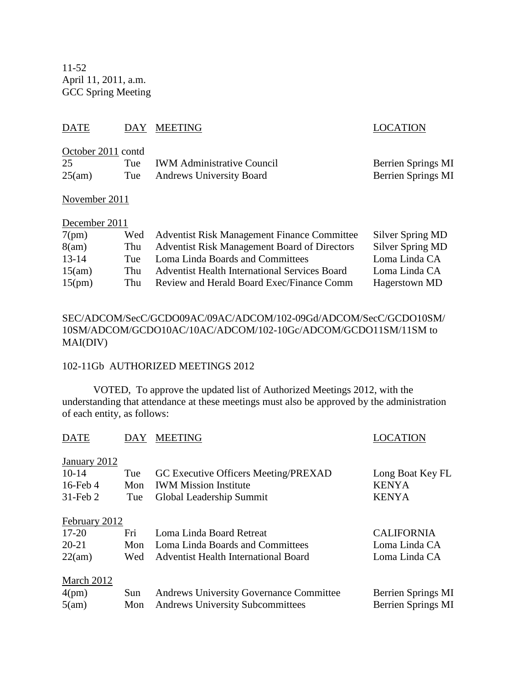11-52 April 11, 2011, a.m. GCC Spring Meeting

### DATE DAY MEETING SERVICES AND LOCATION

| October 2011 contd |                                |                           |
|--------------------|--------------------------------|---------------------------|
| 25                 | Tue IWM Administrative Council | <b>Berrien Springs MI</b> |
| 25(am)             | Tue Andrews University Board   | <b>Berrien Springs MI</b> |

November 2011

| December 2011 |
|---------------|
|---------------|

| 7(pm)     |     | Wed Adventist Risk Management Finance Committee      | Silver Spring MD |
|-----------|-----|------------------------------------------------------|------------------|
| 8(am)     | Thu | <b>Adventist Risk Management Board of Directors</b>  | Silver Spring MD |
| $13 - 14$ | Tue | Loma Linda Boards and Committees                     | Loma Linda CA    |
| 15(am)    | Thu | <b>Adventist Health International Services Board</b> | Loma Linda CA    |
| 15(pm)    | Thu | Review and Herald Board Exec/Finance Comm            | Hagerstown MD    |

#### SEC/ADCOM/SecC/GCDO09AC/09AC/ADCOM/102-09Gd/ADCOM/SecC/GCDO10SM/ 10SM/ADCOM/GCDO10AC/10AC/ADCOM/102-10Gc/ADCOM/GCDO11SM/11SM to MAI(DIV)

#### 102-11Gb AUTHORIZED MEETINGS 2012

VOTED, To approve the updated list of Authorized Meetings 2012, with the understanding that attendance at these meetings must also be approved by the administration of each entity, as follows:

| <b>DATE</b>   | DAY | <b>MEETING</b>                                 | LOCATION           |
|---------------|-----|------------------------------------------------|--------------------|
| January 2012  |     |                                                |                    |
| $10-14$       | Tue | GC Executive Officers Meeting/PREXAD           | Long Boat Key FL   |
| $16$ -Feb 4   | Mon | <b>IWM Mission Institute</b>                   | <b>KENYA</b>       |
| $31$ -Feb $2$ | Tue | Global Leadership Summit                       | <b>KENYA</b>       |
| February 2012 |     |                                                |                    |
| $17 - 20$     | Fri | Loma Linda Board Retreat                       | <b>CALIFORNIA</b>  |
| $20 - 21$     | Mon | Loma Linda Boards and Committees               | Loma Linda CA      |
| 22(am)        | Wed | <b>Adventist Health International Board</b>    | Loma Linda CA      |
| March 2012    |     |                                                |                    |
| 4(pm)         | Sun | <b>Andrews University Governance Committee</b> | Berrien Springs MI |
| 5(am)         | Mon | <b>Andrews University Subcommittees</b>        | Berrien Springs MI |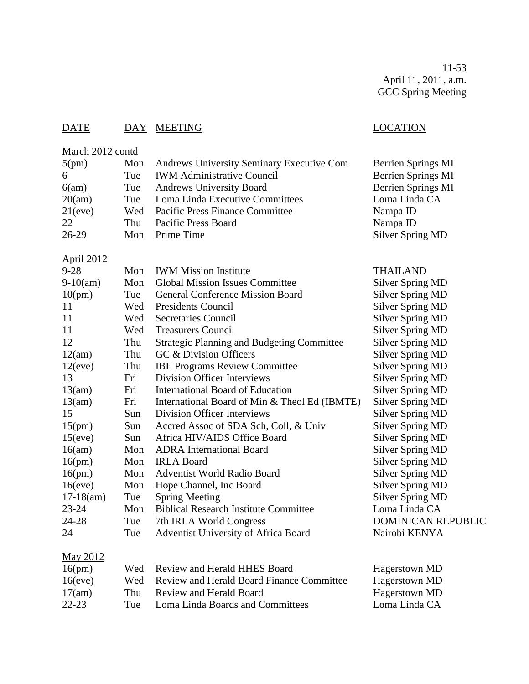11-53 April 11, 2011, a.m. GCC Spring Meeting

### DATE DAY MEETING LOCATION

# March 2012 contd

| 5(pm)             | Mon         | <b>Andrews University Seminary Executive Com</b> | Berrien Springs MI      |
|-------------------|-------------|--------------------------------------------------|-------------------------|
| 6                 | Tue         | <b>IWM Administrative Council</b>                | Berrien Springs MI      |
| 6(am)             | Tue         | <b>Andrews University Board</b>                  | Berrien Springs MI      |
| 20(am)            | Tue         | Loma Linda Executive Committees                  | Loma Linda CA           |
| 21(eve)           | Wed         | <b>Pacific Press Finance Committee</b>           | Nampa ID                |
| 22                | Thu         | Pacific Press Board                              | Nampa ID                |
| 26-29             | Mon         | Prime Time                                       | <b>Silver Spring MD</b> |
| <b>April 2012</b> |             |                                                  |                         |
| 0.20              | $M_{\odot}$ | $\frac{1}{2}$                                    | THAILAND                |

| 9-28         | Mon | <b>IWM Mission Institute</b>                      | THAILAND                  |
|--------------|-----|---------------------------------------------------|---------------------------|
| $9-10(am)$   | Mon | <b>Global Mission Issues Committee</b>            | <b>Silver Spring MD</b>   |
| 10(pm)       | Tue | <b>General Conference Mission Board</b>           | <b>Silver Spring MD</b>   |
| 11           | Wed | <b>Presidents Council</b>                         | <b>Silver Spring MD</b>   |
| 11           | Wed | Secretaries Council                               | <b>Silver Spring MD</b>   |
| 11           | Wed | <b>Treasurers Council</b>                         | <b>Silver Spring MD</b>   |
| 12           | Thu | <b>Strategic Planning and Budgeting Committee</b> | <b>Silver Spring MD</b>   |
| 12(am)       | Thu | GC & Division Officers                            | <b>Silver Spring MD</b>   |
| 12(eve)      | Thu | <b>IBE Programs Review Committee</b>              | <b>Silver Spring MD</b>   |
| 13           | Fri | Division Officer Interviews                       | <b>Silver Spring MD</b>   |
| 13(am)       | Fri | <b>International Board of Education</b>           | <b>Silver Spring MD</b>   |
| 13(am)       | Fri | International Board of Min & Theol Ed (IBMTE)     | <b>Silver Spring MD</b>   |
| 15           | Sun | Division Officer Interviews                       | <b>Silver Spring MD</b>   |
| 15(pm)       | Sun | Accred Assoc of SDA Sch, Coll, & Univ             | <b>Silver Spring MD</b>   |
| 15(eve)      | Sun | Africa HIV/AIDS Office Board                      | <b>Silver Spring MD</b>   |
| 16(am)       | Mon | <b>ADRA</b> International Board                   | <b>Silver Spring MD</b>   |
| 16(pm)       | Mon | <b>IRLA Board</b>                                 | <b>Silver Spring MD</b>   |
| 16(pm)       | Mon | <b>Adventist World Radio Board</b>                | <b>Silver Spring MD</b>   |
| 16(eve)      | Mon | Hope Channel, Inc Board                           | <b>Silver Spring MD</b>   |
| $17-18$ (am) | Tue | <b>Spring Meeting</b>                             | <b>Silver Spring MD</b>   |
| $23 - 24$    | Mon | <b>Biblical Research Institute Committee</b>      | Loma Linda CA             |
| 24-28        | Tue | 7th IRLA World Congress                           | DOMINICAN REPUBLIC        |
| 24           | Tue | Adventist University of Africa Board              | Nairobi KENYA             |
| May 2012     |     |                                                   |                           |
| 1/2          |     | $1111$ $111111100$<br>$\mathbf{u}$                | <b>TT</b><br>$\mathbf{r}$ |

|     | Hagerstown MD                                                                                                                                        |
|-----|------------------------------------------------------------------------------------------------------------------------------------------------------|
|     | Hagerstown MD                                                                                                                                        |
|     | Hagerstown MD                                                                                                                                        |
| Tue | Loma Linda CA                                                                                                                                        |
|     | Wed Review and Herald HHES Board<br>Wed Review and Herald Board Finance Committee<br>Thu Review and Herald Board<br>Loma Linda Boards and Committees |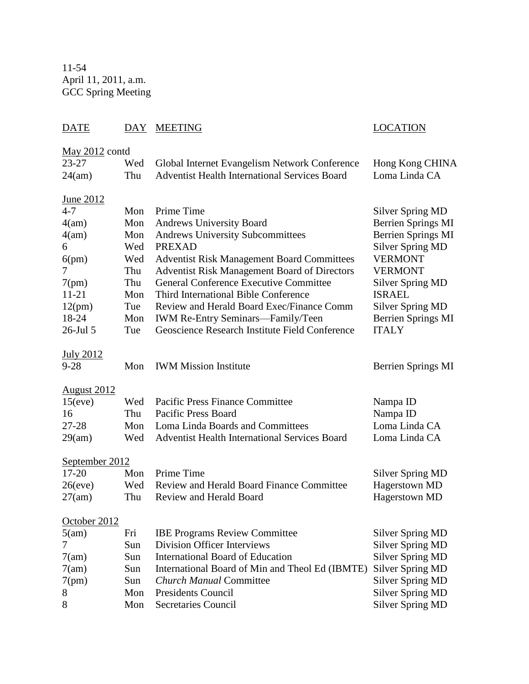11-54 April 11, 2011, a.m. GCC Spring Meeting

### DATE DAY MEETING LOCATION

| May $2012$ contd   |     |                                                      |                           |
|--------------------|-----|------------------------------------------------------|---------------------------|
| $23 - 27$          | Wed | Global Internet Evangelism Network Conference        | Hong Kong CHINA           |
| 24(am)             | Thu | <b>Adventist Health International Services Board</b> | Loma Linda CA             |
| <u>June 2012</u>   |     |                                                      |                           |
| $4 - 7$            | Mon | Prime Time                                           | <b>Silver Spring MD</b>   |
| 4(am)              | Mon | Andrews University Board                             | <b>Berrien Springs MI</b> |
| 4(am)              | Mon | <b>Andrews University Subcommittees</b>              | <b>Berrien Springs MI</b> |
| 6                  | Wed | <b>PREXAD</b>                                        | <b>Silver Spring MD</b>   |
| 6(pm)              | Wed | <b>Adventist Risk Management Board Committees</b>    | <b>VERMONT</b>            |
| 7                  | Thu | <b>Adventist Risk Management Board of Directors</b>  | <b>VERMONT</b>            |
| 7(pm)              | Thu | <b>General Conference Executive Committee</b>        | <b>Silver Spring MD</b>   |
| $11 - 21$          | Mon | Third International Bible Conference                 | <b>ISRAEL</b>             |
| 12(pm)             | Tue | Review and Herald Board Exec/Finance Comm            | <b>Silver Spring MD</b>   |
| 18-24              | Mon | <b>IWM Re-Entry Seminars—Family/Teen</b>             | <b>Berrien Springs MI</b> |
| 26-Jul 5           | Tue | Geoscience Research Institute Field Conference       | <b>ITALY</b>              |
| <b>July 2012</b>   |     |                                                      |                           |
| $9 - 28$           | Mon | <b>IWM Mission Institute</b>                         | Berrien Springs MI        |
| <u>August 2012</u> |     |                                                      |                           |
| 15(eve)            | Wed | <b>Pacific Press Finance Committee</b>               | Nampa ID                  |
| 16                 | Thu | <b>Pacific Press Board</b>                           | Nampa ID                  |
| 27-28              | Mon | Loma Linda Boards and Committees                     | Loma Linda CA             |
| 29(am)             | Wed | Adventist Health International Services Board        | Loma Linda CA             |
| September 2012     |     |                                                      |                           |
| $17 - 20$          | Mon | Prime Time                                           | <b>Silver Spring MD</b>   |
| 26(eve)            | Wed | <b>Review and Herald Board Finance Committee</b>     | Hagerstown MD             |
| 27(am)             | Thu | <b>Review and Herald Board</b>                       | Hagerstown MD             |
| October 2012       |     |                                                      |                           |
| 5(am)              | Fri | <b>IBE Programs Review Committee</b>                 | <b>Silver Spring MD</b>   |
| 7                  | Sun | <b>Division Officer Interviews</b>                   | <b>Silver Spring MD</b>   |
| 7(am)              | Sun | <b>International Board of Education</b>              | <b>Silver Spring MD</b>   |
| 7(am)              | Sun | International Board of Min and Theol Ed (IBMTE)      | <b>Silver Spring MD</b>   |
| 7(pm)              | Sun | <b>Church Manual Committee</b>                       | <b>Silver Spring MD</b>   |
| 8                  | Mon | <b>Presidents Council</b>                            | <b>Silver Spring MD</b>   |
| 8                  | Mon | <b>Secretaries Council</b>                           | <b>Silver Spring MD</b>   |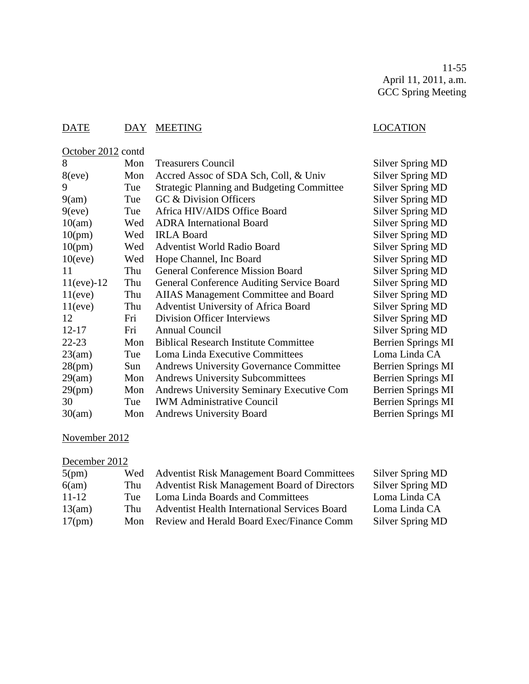11-55 April 11, 2011, a.m. GCC Spring Meeting

### DATE DAY MEETING DATE LOCATION

| October 2012 contd |     |                                                   |                           |
|--------------------|-----|---------------------------------------------------|---------------------------|
| 8                  | Mon | <b>Treasurers Council</b>                         | Silver Spring MD          |
| 8(eve)             | Mon | Accred Assoc of SDA Sch, Coll, & Univ             | <b>Silver Spring MD</b>   |
| 9                  | Tue | <b>Strategic Planning and Budgeting Committee</b> | Silver Spring MD          |
| 9(am)              | Tue | GC & Division Officers                            | Silver Spring MD          |
| 9(eve)             | Tue | Africa HIV/AIDS Office Board                      | <b>Silver Spring MD</b>   |
| 10(am)             | Wed | <b>ADRA</b> International Board                   | <b>Silver Spring MD</b>   |
| 10(pm)             | Wed | <b>IRLA Board</b>                                 | Silver Spring MD          |
| 10(pm)             | Wed | <b>Adventist World Radio Board</b>                | Silver Spring MD          |
| 10(eve)            | Wed | Hope Channel, Inc Board                           | <b>Silver Spring MD</b>   |
| 11                 | Thu | <b>General Conference Mission Board</b>           | <b>Silver Spring MD</b>   |
| $11(eve) - 12$     | Thu | <b>General Conference Auditing Service Board</b>  | Silver Spring MD          |
| 11(eve)            | Thu | AIIAS Management Committee and Board              | <b>Silver Spring MD</b>   |
| 11(eve)            | Thu | Adventist University of Africa Board              | Silver Spring MD          |
| 12                 | Fri | <b>Division Officer Interviews</b>                | <b>Silver Spring MD</b>   |
| $12 - 17$          | Fri | <b>Annual Council</b>                             | Silver Spring MD          |
| $22 - 23$          | Mon | <b>Biblical Research Institute Committee</b>      | <b>Berrien Springs MI</b> |
| 23(am)             | Tue | Loma Linda Executive Committees                   | Loma Linda CA             |
| 28(pm)             | Sun | <b>Andrews University Governance Committee</b>    | Berrien Springs MI        |
| 29(am)             | Mon | <b>Andrews University Subcommittees</b>           | Berrien Springs MI        |
| 29(pm)             | Mon | <b>Andrews University Seminary Executive Com</b>  | <b>Berrien Springs MI</b> |
| 30                 | Tue | <b>IWM Administrative Council</b>                 | <b>Berrien Springs MI</b> |
| 30(am)             | Mon | <b>Andrews University Board</b>                   | <b>Berrien Springs MI</b> |

### November 2012

#### December 2012

| 5(pm)     | Wed | <b>Adventist Risk Management Board Committees</b>    | Silver Spring MD        |
|-----------|-----|------------------------------------------------------|-------------------------|
| 6(am)     | Thu | <b>Adventist Risk Management Board of Directors</b>  | <b>Silver Spring MD</b> |
| $11 - 12$ | Tue | Loma Linda Boards and Committees                     | Loma Linda CA           |
| 13(am)    | Thu | <b>Adventist Health International Services Board</b> | Loma Linda CA           |
| 17(pm)    | Mon | Review and Herald Board Exec/Finance Comm            | Silver Spring MD        |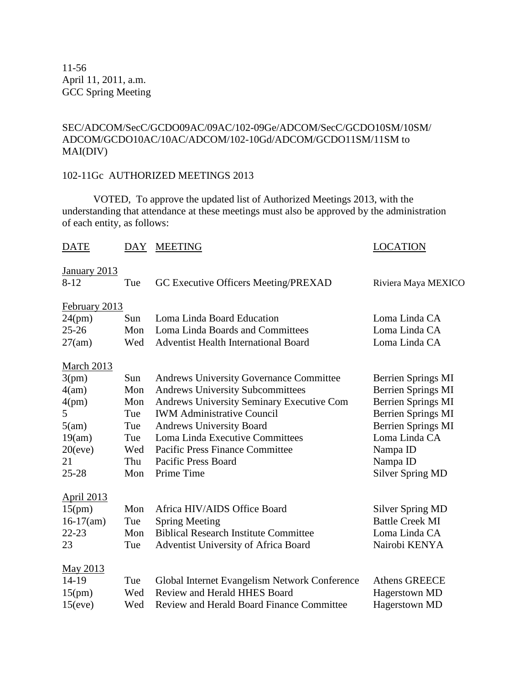11-56 April 11, 2011, a.m. GCC Spring Meeting

#### SEC/ADCOM/SecC/GCDO09AC/09AC/102-09Ge/ADCOM/SecC/GCDO10SM/10SM/ ADCOM/GCDO10AC/10AC/ADCOM/102-10Gd/ADCOM/GCDO11SM/11SM to MAI(DIV)

#### 102-11Gc AUTHORIZED MEETINGS 2013

VOTED, To approve the updated list of Authorized Meetings 2013, with the understanding that attendance at these meetings must also be approved by the administration of each entity, as follows:

#### DATE DAY MEETING DATE LOCATION

| v<br>лапнагу |  |
|--------------|--|
|              |  |

| $\frac{1}{2}$<br>$8 - 12$ | Tue | GC Executive Officers Meeting/PREXAD             | Riviera Maya MEXICO       |
|---------------------------|-----|--------------------------------------------------|---------------------------|
|                           |     |                                                  |                           |
| February 2013             |     |                                                  |                           |
| 24(pm)                    | Sun | Loma Linda Board Education                       | Loma Linda CA             |
| $25 - 26$                 | Mon | Loma Linda Boards and Committees                 | Loma Linda CA             |
| 27(am)                    | Wed | <b>Adventist Health International Board</b>      | Loma Linda CA             |
| <b>March 2013</b>         |     |                                                  |                           |
| 3(pm)                     | Sun | <b>Andrews University Governance Committee</b>   | Berrien Springs MI        |
| 4(am)                     | Mon | <b>Andrews University Subcommittees</b>          | <b>Berrien Springs MI</b> |
| 4(pm)                     | Mon | Andrews University Seminary Executive Com        | <b>Berrien Springs MI</b> |
| 5                         | Tue | <b>IWM Administrative Council</b>                | <b>Berrien Springs MI</b> |
| 5(am)                     | Tue | <b>Andrews University Board</b>                  | <b>Berrien Springs MI</b> |
| 19(am)                    | Tue | Loma Linda Executive Committees                  | Loma Linda CA             |
| 20(eve)                   | Wed | <b>Pacific Press Finance Committee</b>           | Nampa ID                  |
| 21                        | Thu | Pacific Press Board                              | Nampa ID                  |
| $25 - 28$                 | Mon | Prime Time                                       | <b>Silver Spring MD</b>   |
| <b>April 2013</b>         |     |                                                  |                           |
| 15(pm)                    | Mon | Africa HIV/AIDS Office Board                     | <b>Silver Spring MD</b>   |
| $16-17(am)$               | Tue | <b>Spring Meeting</b>                            | <b>Battle Creek MI</b>    |
| $22 - 23$                 | Mon | <b>Biblical Research Institute Committee</b>     | Loma Linda CA             |
| 23                        | Tue | Adventist University of Africa Board             | Nairobi KENYA             |
| May 2013                  |     |                                                  |                           |
| 14-19                     | Tue | Global Internet Evangelism Network Conference    | <b>Athens GREECE</b>      |
| 15(pm)                    | Wed | Review and Herald HHES Board                     | Hagerstown MD             |
| 15(eve)                   | Wed | <b>Review and Herald Board Finance Committee</b> | Hagerstown MD             |
|                           |     |                                                  |                           |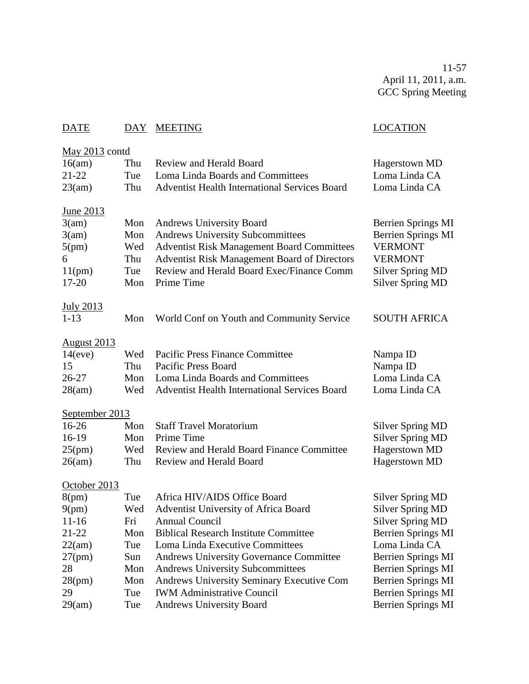11-57 April 11, 2011, a.m. GCC Spring Meeting

# DATE DAY MEETING LOCATION

| May $2013$ contd   |     |                                                      |                           |
|--------------------|-----|------------------------------------------------------|---------------------------|
| 16(am)             | Thu | <b>Review and Herald Board</b>                       | <b>Hagerstown MD</b>      |
| 21-22              | Tue | Loma Linda Boards and Committees                     | Loma Linda CA             |
| 23(am)             | Thu | <b>Adventist Health International Services Board</b> | Loma Linda CA             |
| June 2013          |     |                                                      |                           |
| 3(am)              | Mon | <b>Andrews University Board</b>                      | <b>Berrien Springs MI</b> |
| 3(am)              | Mon | <b>Andrews University Subcommittees</b>              | <b>Berrien Springs MI</b> |
| 5(pm)              | Wed | <b>Adventist Risk Management Board Committees</b>    | <b>VERMONT</b>            |
| 6                  | Thu | Adventist Risk Management Board of Directors         | <b>VERMONT</b>            |
| 11(pm)             | Tue | Review and Herald Board Exec/Finance Comm            | <b>Silver Spring MD</b>   |
| $17 - 20$          | Mon | Prime Time                                           | <b>Silver Spring MD</b>   |
| July 2013          |     |                                                      |                           |
| $1 - 13$           | Mon | World Conf on Youth and Community Service            | <b>SOUTH AFRICA</b>       |
| <b>August 2013</b> |     |                                                      |                           |
| 14(eve)            | Wed | <b>Pacific Press Finance Committee</b>               | Nampa ID                  |
| 15                 | Thu | <b>Pacific Press Board</b>                           | Nampa ID                  |
| $26 - 27$          | Mon | Loma Linda Boards and Committees                     | Loma Linda CA             |
| 28(am)             | Wed | Adventist Health International Services Board        | Loma Linda CA             |
|                    |     |                                                      |                           |
| September 2013     |     |                                                      |                           |
| 16-26              | Mon | <b>Staff Travel Moratorium</b>                       | <b>Silver Spring MD</b>   |
| 16-19              | Mon | Prime Time                                           | <b>Silver Spring MD</b>   |
| 25(pm)             | Wed | <b>Review and Herald Board Finance Committee</b>     | Hagerstown MD             |
| 26(am)             | Thu | Review and Herald Board                              | Hagerstown MD             |
| October 2013       |     |                                                      |                           |
| 8(pm)              | Tue | Africa HIV/AIDS Office Board                         | <b>Silver Spring MD</b>   |
| 9(pm)              | Wed | Adventist University of Africa Board                 | <b>Silver Spring MD</b>   |
| $11 - 16$          | Fri | <b>Annual Council</b>                                | <b>Silver Spring MD</b>   |
| 21-22              | Mon | <b>Biblical Research Institute Committee</b>         | Berrien Springs MI        |
| 22(am)             | Tue | Loma Linda Executive Committees                      | Loma Linda CA             |
| 27(pm)             | Sun | <b>Andrews University Governance Committee</b>       | <b>Berrien Springs MI</b> |
| 28                 | Mon | <b>Andrews University Subcommittees</b>              | <b>Berrien Springs MI</b> |
| 28(pm)             | Mon | Andrews University Seminary Executive Com            | <b>Berrien Springs MI</b> |
| 29                 | Tue | <b>IWM Administrative Council</b>                    | <b>Berrien Springs MI</b> |
| 29(am)             | Tue | <b>Andrews University Board</b>                      | <b>Berrien Springs MI</b> |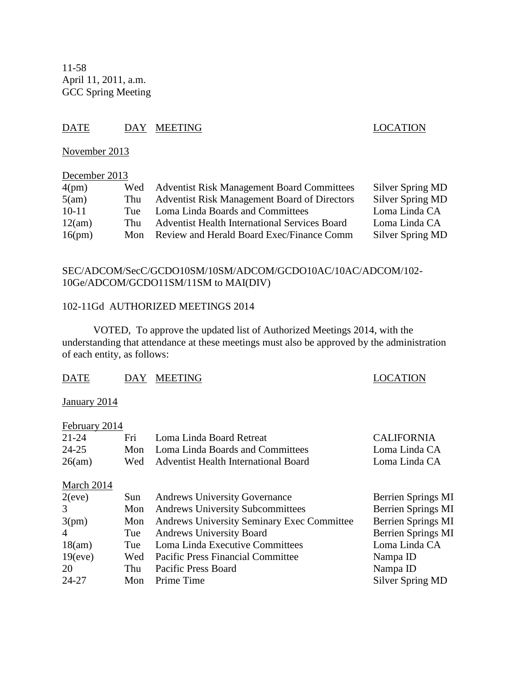11-58 April 11, 2011, a.m. GCC Spring Meeting

### DATE DAY MEETING SERVESTEED DAY AND DESCRIPTION

November 2013

#### December 2013

| 4(pm)   | Wed | <b>Adventist Risk Management Board Committees</b>    | Silver Spring MD |
|---------|-----|------------------------------------------------------|------------------|
| 5(am)   | Thu | Adventist Risk Management Board of Directors         | Silver Spring MD |
| $10-11$ | Tue | Loma Linda Boards and Committees                     | Loma Linda CA    |
| 12(am)  | Thu | <b>Adventist Health International Services Board</b> | Loma Linda CA    |
| 16(pm)  | Mon | Review and Herald Board Exec/Finance Comm            | Silver Spring MD |

#### SEC/ADCOM/SecC/GCDO10SM/10SM/ADCOM/GCDO10AC/10AC/ADCOM/102- 10Ge/ADCOM/GCDO11SM/11SM to MAI(DIV)

#### 102-11Gd AUTHORIZED MEETINGS 2014

VOTED, To approve the updated list of Authorized Meetings 2014, with the understanding that attendance at these meetings must also be approved by the administration of each entity, as follows:

#### DATE DAY MEETING DATE LOCATION

#### January 2014

| February 2014  |     |                                                   |                           |
|----------------|-----|---------------------------------------------------|---------------------------|
| $21 - 24$      | Fri | Loma Linda Board Retreat                          | <b>CALIFORNIA</b>         |
| $24 - 25$      | Mon | Loma Linda Boards and Committees                  | Loma Linda CA             |
| 26(am)         | Wed | <b>Adventist Health International Board</b>       | Loma Linda CA             |
| March 2014     |     |                                                   |                           |
| 2(eve)         | Sun | <b>Andrews University Governance</b>              | Berrien Springs MI        |
| 3              | Mon | <b>Andrews University Subcommittees</b>           | Berrien Springs MI        |
| 3(pm)          | Mon | <b>Andrews University Seminary Exec Committee</b> | <b>Berrien Springs MI</b> |
| $\overline{4}$ | Tue | <b>Andrews University Board</b>                   | <b>Berrien Springs MI</b> |
| 18(am)         | Tue | Loma Linda Executive Committees                   | Loma Linda CA             |
| $19$ (eve)     | Wed | <b>Pacific Press Financial Committee</b>          | Nampa ID                  |
| 20             | Thu | Pacific Press Board                               | Nampa ID                  |
| $24 - 27$      | Mon | Prime Time                                        | Silver Spring MD          |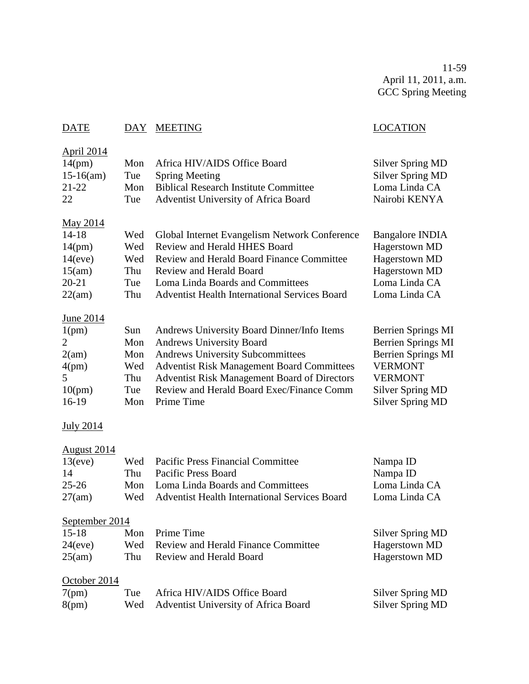11-59 April 11, 2011, a.m. GCC Spring Meeting

| DATE               | DAY | <b>MEETING</b>                                       | <b>LOCATION</b>           |
|--------------------|-----|------------------------------------------------------|---------------------------|
| <u>April 2014</u>  |     |                                                      |                           |
| 14(pm)             | Mon | Africa HIV/AIDS Office Board                         | <b>Silver Spring MD</b>   |
| $15-16(am)$        | Tue | <b>Spring Meeting</b>                                | <b>Silver Spring MD</b>   |
| 21-22              | Mon | <b>Biblical Research Institute Committee</b>         | Loma Linda CA             |
| 22                 | Tue | Adventist University of Africa Board                 | Nairobi KENYA             |
| <u>May 2014</u>    |     |                                                      |                           |
| $14 - 18$          | Wed | Global Internet Evangelism Network Conference        | <b>Bangalore INDIA</b>    |
| 14(pm)             | Wed | Review and Herald HHES Board                         | Hagerstown MD             |
| 14(eve)            | Wed | Review and Herald Board Finance Committee            | Hagerstown MD             |
| 15(am)             | Thu | <b>Review and Herald Board</b>                       | <b>Hagerstown MD</b>      |
| 20-21              | Tue | Loma Linda Boards and Committees                     | Loma Linda CA             |
| 22(am)             | Thu | <b>Adventist Health International Services Board</b> | Loma Linda CA             |
| <u>June 2014</u>   |     |                                                      |                           |
| 1(pm)              | Sun | Andrews University Board Dinner/Info Items           | <b>Berrien Springs MI</b> |
| 2                  | Mon | <b>Andrews University Board</b>                      | <b>Berrien Springs MI</b> |
| 2(am)              | Mon | <b>Andrews University Subcommittees</b>              | Berrien Springs MI        |
| 4(pm)              | Wed | <b>Adventist Risk Management Board Committees</b>    | <b>VERMONT</b>            |
| 5                  | Thu | <b>Adventist Risk Management Board of Directors</b>  | <b>VERMONT</b>            |
| 10(pm)             | Tue | Review and Herald Board Exec/Finance Comm            | <b>Silver Spring MD</b>   |
| 16-19              | Mon | Prime Time                                           | <b>Silver Spring MD</b>   |
| <u>July 2014</u>   |     |                                                      |                           |
| <u>August 2014</u> |     |                                                      |                           |
| 13(eve)            | Wed | <b>Pacific Press Financial Committee</b>             | Nampa ID                  |
| 14                 | Thu | Pacific Press Board                                  | Nampa ID                  |
| 25-26              | Mon | Loma Linda Boards and Committees                     | Loma Linda CA             |
| 27(am)             | Wed | Adventist Health International Services Board        | Loma Linda CA             |
| September 2014     |     |                                                      |                           |
| $15 - 18$          | Mon | Prime Time                                           | <b>Silver Spring MD</b>   |
| 24(eve)            | Wed | <b>Review and Herald Finance Committee</b>           | <b>Hagerstown MD</b>      |
| 25(am)             | Thu | <b>Review and Herald Board</b>                       | Hagerstown MD             |
| October 2014       |     |                                                      |                           |
| 7(pm)              | Tue | Africa HIV/AIDS Office Board                         | <b>Silver Spring MD</b>   |
| 8(pm)              | Wed | Adventist University of Africa Board                 | <b>Silver Spring MD</b>   |
|                    |     |                                                      |                           |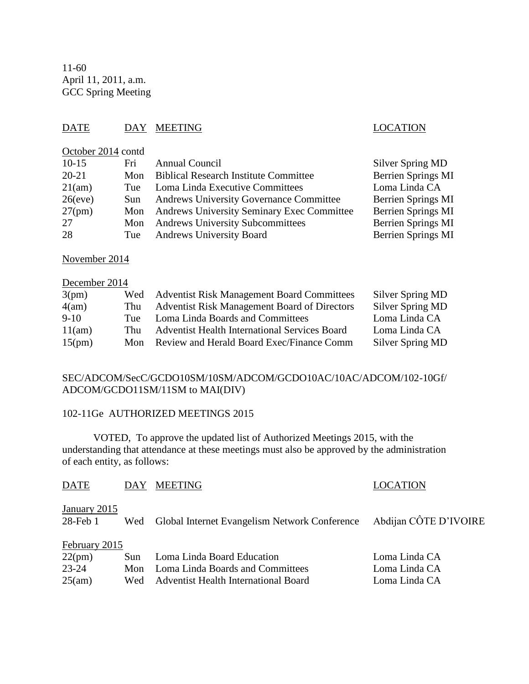11-60 April 11, 2011, a.m. GCC Spring Meeting

### DATE DAY MEETING LOCATION

#### October 2014 contd

| $10-15$   | Fri   | <b>Annual Council</b>                             | Silver Spring MD          |
|-----------|-------|---------------------------------------------------|---------------------------|
| $20 - 21$ |       | Mon Biblical Research Institute Committee         | <b>Berrien Springs MI</b> |
| 21(am)    | Tue   | Loma Linda Executive Committees                   | Loma Linda CA             |
| 26(eve)   | Sun - | <b>Andrews University Governance Committee</b>    | <b>Berrien Springs MI</b> |
| $27$ (pm) | Mon   | <b>Andrews University Seminary Exec Committee</b> | <b>Berrien Springs MI</b> |
| 27        | Mon   | <b>Andrews University Subcommittees</b>           | Berrien Springs MI        |
| 28        | Tue   | <b>Andrews University Board</b>                   | <b>Berrien Springs MI</b> |

November 2014

# December 2014 3(pm) Wed Adventist Risk Management Board Committees Silver Spring MD

| $-1$   |     |                                                      |                  |
|--------|-----|------------------------------------------------------|------------------|
| 4(am)  | Thu | <b>Adventist Risk Management Board of Directors</b>  | Silver Spring MD |
| 9-10   | Tue | Loma Linda Boards and Committees                     | Loma Linda CA    |
| 11(am) | Thu | <b>Adventist Health International Services Board</b> | Loma Linda CA    |
| 15(pm) |     | Mon Review and Herald Board Exec/Finance Comm        | Silver Spring MD |

#### SEC/ADCOM/SecC/GCDO10SM/10SM/ADCOM/GCDO10AC/10AC/ADCOM/102-10Gf/ ADCOM/GCDO11SM/11SM to MAI(DIV)

#### 102-11Ge AUTHORIZED MEETINGS 2015

VOTED, To approve the updated list of Authorized Meetings 2015, with the understanding that attendance at these meetings must also be approved by the administration of each entity, as follows:

| <b>DATE</b>                   | <b>DAY</b> | <b>MEETING</b>                                | <b>LOCATION</b>       |  |  |
|-------------------------------|------------|-----------------------------------------------|-----------------------|--|--|
| January 2015<br>$28$ -Feb $1$ | Wed        | Global Internet Evangelism Network Conference | Abdijan CÔTE D'IVOIRE |  |  |
| February 2015                 |            |                                               |                       |  |  |
| 22(pm)                        | Sun        | Loma Linda Board Education                    | Loma Linda CA         |  |  |
| 23-24                         | Mon        | Loma Linda Boards and Committees              | Loma Linda CA         |  |  |
| 25(am)                        | Wed        | Adventist Health International Board          | Loma Linda CA         |  |  |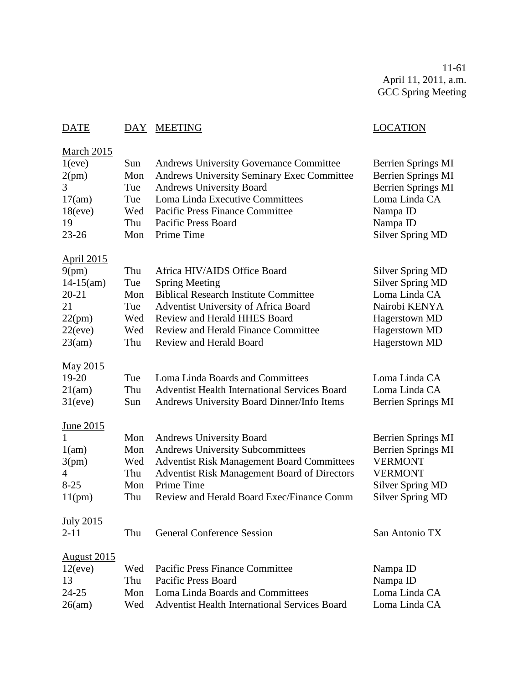11-61 April 11, 2011, a.m. GCC Spring Meeting

# DATE DAY MEETING LOCATION

| March 2015         |     |                                                      |                           |
|--------------------|-----|------------------------------------------------------|---------------------------|
| 1(eve)             | Sun | <b>Andrews University Governance Committee</b>       | Berrien Springs MI        |
| 2(pm)              | Mon | Andrews University Seminary Exec Committee           | <b>Berrien Springs MI</b> |
| 3                  | Tue | <b>Andrews University Board</b>                      | <b>Berrien Springs MI</b> |
| 17(am)             | Tue | Loma Linda Executive Committees                      | Loma Linda CA             |
| 18(eve)            | Wed | <b>Pacific Press Finance Committee</b>               | Nampa ID                  |
| 19                 | Thu | <b>Pacific Press Board</b>                           | Nampa ID                  |
| $23 - 26$          | Mon | Prime Time                                           | <b>Silver Spring MD</b>   |
| <b>April 2015</b>  |     |                                                      |                           |
| 9(pm)              | Thu | Africa HIV/AIDS Office Board                         | <b>Silver Spring MD</b>   |
| $14-15(am)$        | Tue | <b>Spring Meeting</b>                                | <b>Silver Spring MD</b>   |
| $20 - 21$          | Mon | <b>Biblical Research Institute Committee</b>         | Loma Linda CA             |
| 21                 | Tue | Adventist University of Africa Board                 | Nairobi KENYA             |
| 22(pm)             | Wed | Review and Herald HHES Board                         | <b>Hagerstown MD</b>      |
| 22(eve)            | Wed | <b>Review and Herald Finance Committee</b>           | Hagerstown MD             |
| 23(am)             | Thu | Review and Herald Board                              | Hagerstown MD             |
| May 2015           |     |                                                      |                           |
| 19-20              | Tue | Loma Linda Boards and Committees                     | Loma Linda CA             |
| 21(am)             | Thu | <b>Adventist Health International Services Board</b> | Loma Linda CA             |
| 31(eve)            | Sun | Andrews University Board Dinner/Info Items           | <b>Berrien Springs MI</b> |
| June 2015          |     |                                                      |                           |
|                    | Mon | <b>Andrews University Board</b>                      | <b>Berrien Springs MI</b> |
| 1(am)              | Mon | <b>Andrews University Subcommittees</b>              | <b>Berrien Springs MI</b> |
| 3(pm)              | Wed | <b>Adventist Risk Management Board Committees</b>    | <b>VERMONT</b>            |
| 4                  | Thu | Adventist Risk Management Board of Directors         | <b>VERMONT</b>            |
| $8 - 25$           | Mon | Prime Time                                           | <b>Silver Spring MD</b>   |
| 11(pm)             | Thu | Review and Herald Board Exec/Finance Comm            | <b>Silver Spring MD</b>   |
| <b>July 2015</b>   |     |                                                      |                           |
| $2 - 11$           | Thu | <b>General Conference Session</b>                    | San Antonio TX            |
| <b>August 2015</b> |     |                                                      |                           |
| 12(eve)            | Wed | <b>Pacific Press Finance Committee</b>               | Nampa ID                  |
| 13                 | Thu | <b>Pacific Press Board</b>                           | Nampa ID                  |
| $24 - 25$          | Mon | Loma Linda Boards and Committees                     | Loma Linda CA             |
| 26(am)             | Wed | <b>Adventist Health International Services Board</b> | Loma Linda CA             |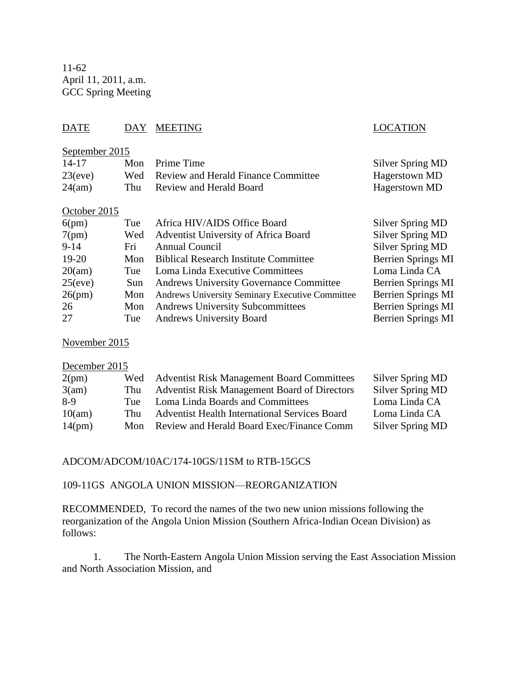11-62 April 11, 2011, a.m. GCC Spring Meeting

### DATE DAY MEETING LOCATION

#### September 2015

| 14-17   | Mon Prime Time                          | Silver Spring MD |
|---------|-----------------------------------------|------------------|
| 23(eve) | Wed Review and Herald Finance Committee | Hagerstown MD    |
| 24(am)  | Thu Review and Herald Board             | Hagerstown MD    |

#### October 2015

| 6(pm)   | Tue | Africa HIV/AIDS Office Board                           | <b>Silver Spring MD</b>   |
|---------|-----|--------------------------------------------------------|---------------------------|
| 7(pm)   | Wed | <b>Adventist University of Africa Board</b>            | <b>Silver Spring MD</b>   |
| $9-14$  | Fri | Annual Council                                         | <b>Silver Spring MD</b>   |
| $19-20$ | Mon | <b>Biblical Research Institute Committee</b>           | <b>Berrien Springs MI</b> |
| 20(am)  | Tue | Loma Linda Executive Committees                        | Loma Linda CA             |
| 25(eve) | Sun | <b>Andrews University Governance Committee</b>         | Berrien Springs MI        |
| 26(pm)  | Mon | <b>Andrews University Seminary Executive Committee</b> | <b>Berrien Springs MI</b> |
| 26      | Mon | <b>Andrews University Subcommittees</b>                | <b>Berrien Springs MI</b> |
| 27      | Tue | <b>Andrews University Board</b>                        | <b>Berrien Springs MI</b> |

#### November 2015

# December 2015

| 2(pm)  |     | Wed Adventist Risk Management Board Committees       | Silver Spring MD        |
|--------|-----|------------------------------------------------------|-------------------------|
| 3(am)  | Thu | <b>Adventist Risk Management Board of Directors</b>  | <b>Silver Spring MD</b> |
| $8-9$  | Tue | Loma Linda Boards and Committees                     | Loma Linda CA           |
| 10(am) | Thu | <b>Adventist Health International Services Board</b> | Loma Linda CA           |
| 14(pm) | Mon | Review and Herald Board Exec/Finance Comm            | Silver Spring MD        |

#### ADCOM/ADCOM/10AC/174-10GS/11SM to RTB-15GCS

#### 109-11GS ANGOLA UNION MISSION—REORGANIZATION

RECOMMENDED, To record the names of the two new union missions following the reorganization of the Angola Union Mission (Southern Africa-Indian Ocean Division) as follows:

1. The North-Eastern Angola Union Mission serving the East Association Mission and North Association Mission, and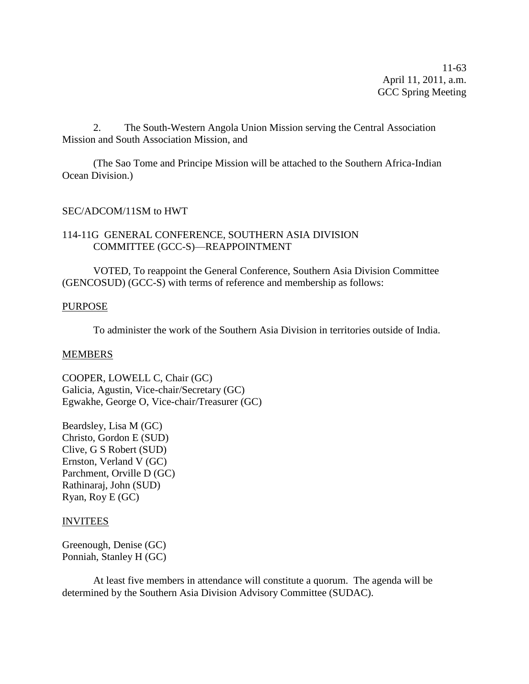11-63 April 11, 2011, a.m. GCC Spring Meeting

2. The South-Western Angola Union Mission serving the Central Association Mission and South Association Mission, and

(The Sao Tome and Principe Mission will be attached to the Southern Africa-Indian Ocean Division.)

#### SEC/ADCOM/11SM to HWT

#### 114-11G GENERAL CONFERENCE, SOUTHERN ASIA DIVISION COMMITTEE (GCC-S)—REAPPOINTMENT

VOTED, To reappoint the General Conference, Southern Asia Division Committee (GENCOSUD) (GCC-S) with terms of reference and membership as follows:

#### PURPOSE

To administer the work of the Southern Asia Division in territories outside of India.

#### **MEMBERS**

COOPER, LOWELL C, Chair (GC) Galicia, Agustin, Vice-chair/Secretary (GC) Egwakhe, George O, Vice-chair/Treasurer (GC)

Beardsley, Lisa M (GC) Christo, Gordon E (SUD) Clive, G S Robert (SUD) Ernston, Verland V (GC) Parchment, Orville D (GC) Rathinaraj, John (SUD) Ryan, Roy E (GC)

#### INVITEES

Greenough, Denise (GC) Ponniah, Stanley H (GC)

At least five members in attendance will constitute a quorum. The agenda will be determined by the Southern Asia Division Advisory Committee (SUDAC).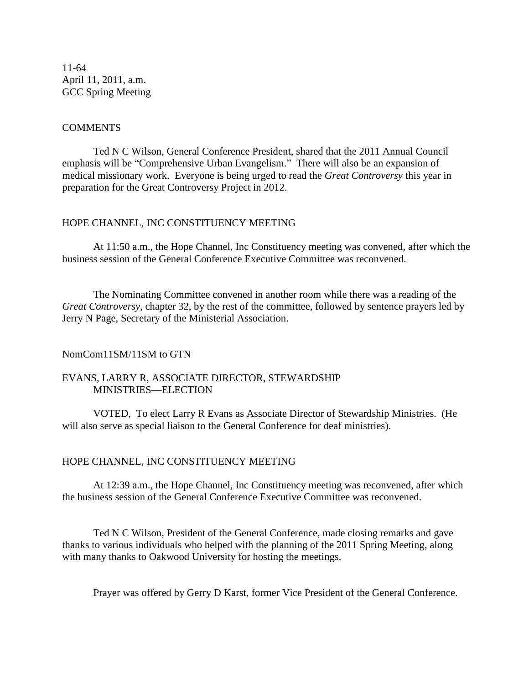11-64 April 11, 2011, a.m. GCC Spring Meeting

#### COMMENTS

Ted N C Wilson, General Conference President, shared that the 2011 Annual Council emphasis will be "Comprehensive Urban Evangelism." There will also be an expansion of medical missionary work. Everyone is being urged to read the *Great Controversy* this year in preparation for the Great Controversy Project in 2012.

#### HOPE CHANNEL, INC CONSTITUENCY MEETING

At 11:50 a.m., the Hope Channel, Inc Constituency meeting was convened, after which the business session of the General Conference Executive Committee was reconvened.

The Nominating Committee convened in another room while there was a reading of the *Great Controversy*, chapter 32, by the rest of the committee, followed by sentence prayers led by Jerry N Page, Secretary of the Ministerial Association.

#### NomCom11SM/11SM to GTN

#### EVANS, LARRY R, ASSOCIATE DIRECTOR, STEWARDSHIP MINISTRIES—ELECTION

VOTED, To elect Larry R Evans as Associate Director of Stewardship Ministries. (He will also serve as special liaison to the General Conference for deaf ministries).

#### HOPE CHANNEL, INC CONSTITUENCY MEETING

At 12:39 a.m., the Hope Channel, Inc Constituency meeting was reconvened, after which the business session of the General Conference Executive Committee was reconvened.

Ted N C Wilson, President of the General Conference, made closing remarks and gave thanks to various individuals who helped with the planning of the 2011 Spring Meeting, along with many thanks to Oakwood University for hosting the meetings.

Prayer was offered by Gerry D Karst, former Vice President of the General Conference.